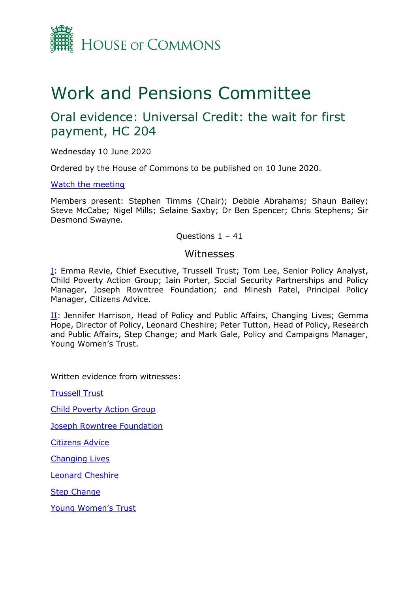

# Work and Pensions Committee

# Oral evidence: Universal Credit: the wait for first payment, HC 204

Wednesday 10 June 2020

Ordered by the House of Commons to be published on 10 June 2020.

[Watch the meeting](https://parliamentlive.tv/Event/Index/0e385f56-6bda-46ce-af48-9e33aff88d7c)

Members present: Stephen Timms (Chair); Debbie Abrahams; Shaun Bailey; Steve McCabe; Nigel Mills; Selaine Saxby; Dr Ben Spencer; Chris Stephens; Sir Desmond Swayne.

#### Questions 1 – 41

#### Witnesses

[I:](#page-1-0) Emma Revie, Chief Executive, Trussell Trust; Tom Lee, Senior Policy Analyst, Child Poverty Action Group; Iain Porter, Social Security Partnerships and Policy Manager, Joseph Rowntree Foundation; and Minesh Patel, Principal Policy Manager, Citizens Advice.

[II:](#page-20-0) Jennifer Harrison, Head of Policy and Public Affairs, Changing Lives; Gemma Hope, Director of Policy, Leonard Cheshire; Peter Tutton, Head of Policy, Research and Public Affairs, Step Change; and Mark Gale, Policy and Campaigns Manager, Young Women's Trust.

Written evidence from witnesses:

[Trussell Trust](https://committees.parliament.uk/writtenevidence/2298/pdf/)

[Child Poverty Action Group](https://committees.parliament.uk/writtenevidence/1864/pdf/)

**[Joseph Rowntree Foundation](https://committees.parliament.uk/writtenevidence/1908/pdf/)** 

[Citizens Advice](https://committees.parliament.uk/writtenevidence/1869/pdf/)

[Changing Lives](https://committees.parliament.uk/writtenevidence/1768/pdf/)

[Leonard Cheshire](https://committees.parliament.uk/writtenevidence/6590/pdf/)

**[Step Change](https://committees.parliament.uk/writtenevidence/1824/pdf/)** 

Youn[g Women's Trust](https://committees.parliament.uk/writtenevidence/1882/pdf/)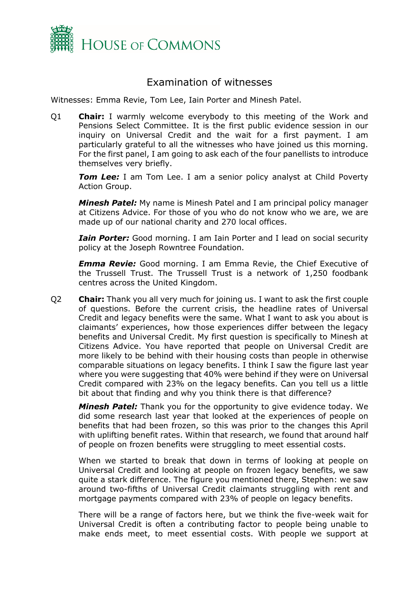

## Examination of witnesses

<span id="page-1-0"></span>Witnesses: Emma Revie, Tom Lee, Iain Porter and Minesh Patel.

Q1 **Chair:** I warmly welcome everybody to this meeting of the Work and Pensions Select Committee. It is the first public evidence session in our inquiry on Universal Credit and the wait for a first payment. I am particularly grateful to all the witnesses who have joined us this morning. For the first panel, I am going to ask each of the four panellists to introduce themselves very briefly.

**Tom Lee:** I am Tom Lee. I am a senior policy analyst at Child Poverty Action Group.

*Minesh Patel:* My name is Minesh Patel and I am principal policy manager at Citizens Advice. For those of you who do not know who we are, we are made up of our national charity and 270 local offices.

*Iain Porter:* Good morning. I am Iain Porter and I lead on social security policy at the Joseph Rowntree Foundation.

*Emma Revie:* Good morning. I am Emma Revie, the Chief Executive of the Trussell Trust. The Trussell Trust is a network of 1,250 foodbank centres across the United Kingdom.

Q2 **Chair:** Thank you all very much for joining us. I want to ask the first couple of questions. Before the current crisis, the headline rates of Universal Credit and legacy benefits were the same. What I want to ask you about is claimants' experiences, how those experiences differ between the legacy benefits and Universal Credit. My first question is specifically to Minesh at Citizens Advice. You have reported that people on Universal Credit are more likely to be behind with their housing costs than people in otherwise comparable situations on legacy benefits. I think I saw the figure last year where you were suggesting that 40% were behind if they were on Universal Credit compared with 23% on the legacy benefits. Can you tell us a little bit about that finding and why you think there is that difference?

*Minesh Patel:* Thank you for the opportunity to give evidence today. We did some research last year that looked at the experiences of people on benefits that had been frozen, so this was prior to the changes this April with uplifting benefit rates. Within that research, we found that around half of people on frozen benefits were struggling to meet essential costs.

When we started to break that down in terms of looking at people on Universal Credit and looking at people on frozen legacy benefits, we saw quite a stark difference. The figure you mentioned there, Stephen: we saw around two-fifths of Universal Credit claimants struggling with rent and mortgage payments compared with 23% of people on legacy benefits.

There will be a range of factors here, but we think the five-week wait for Universal Credit is often a contributing factor to people being unable to make ends meet, to meet essential costs. With people we support at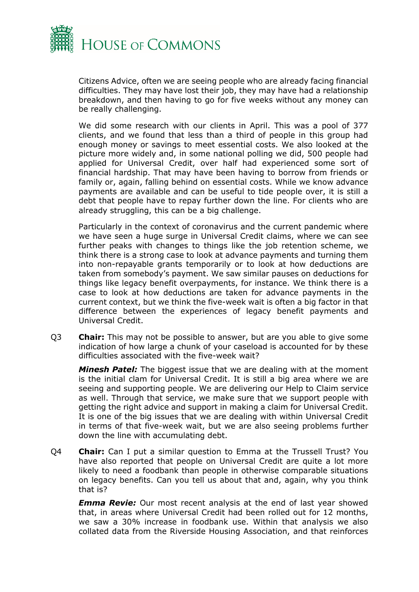

Citizens Advice, often we are seeing people who are already facing financial difficulties. They may have lost their job, they may have had a relationship breakdown, and then having to go for five weeks without any money can be really challenging.

We did some research with our clients in April. This was a pool of 377 clients, and we found that less than a third of people in this group had enough money or savings to meet essential costs. We also looked at the picture more widely and, in some national polling we did, 500 people had applied for Universal Credit, over half had experienced some sort of financial hardship. That may have been having to borrow from friends or family or, again, falling behind on essential costs. While we know advance payments are available and can be useful to tide people over, it is still a debt that people have to repay further down the line. For clients who are already struggling, this can be a big challenge.

Particularly in the context of coronavirus and the current pandemic where we have seen a huge surge in Universal Credit claims, where we can see further peaks with changes to things like the job retention scheme, we think there is a strong case to look at advance payments and turning them into non-repayable grants temporarily or to look at how deductions are taken from somebody's payment. We saw similar pauses on deductions for things like legacy benefit overpayments, for instance. We think there is a case to look at how deductions are taken for advance payments in the current context, but we think the five-week wait is often a big factor in that difference between the experiences of legacy benefit payments and Universal Credit.

Q3 **Chair:** This may not be possible to answer, but are you able to give some indication of how large a chunk of your caseload is accounted for by these difficulties associated with the five-week wait?

*Minesh Patel:* The biggest issue that we are dealing with at the moment is the initial clam for Universal Credit. It is still a big area where we are seeing and supporting people. We are delivering our Help to Claim service as well. Through that service, we make sure that we support people with getting the right advice and support in making a claim for Universal Credit. It is one of the big issues that we are dealing with within Universal Credit in terms of that five-week wait, but we are also seeing problems further down the line with accumulating debt.

Q4 **Chair:** Can I put a similar question to Emma at the Trussell Trust? You have also reported that people on Universal Credit are quite a lot more likely to need a foodbank than people in otherwise comparable situations on legacy benefits. Can you tell us about that and, again, why you think that is?

*Emma Revie:* Our most recent analysis at the end of last year showed that, in areas where Universal Credit had been rolled out for 12 months, we saw a 30% increase in foodbank use. Within that analysis we also collated data from the Riverside Housing Association, and that reinforces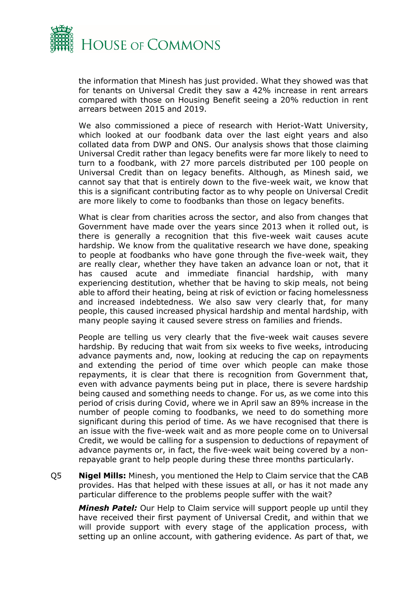

the information that Minesh has just provided. What they showed was that for tenants on Universal Credit they saw a 42% increase in rent arrears compared with those on Housing Benefit seeing a 20% reduction in rent arrears between 2015 and 2019.

We also commissioned a piece of research with Heriot-Watt University, which looked at our foodbank data over the last eight years and also collated data from DWP and ONS. Our analysis shows that those claiming Universal Credit rather than legacy benefits were far more likely to need to turn to a foodbank, with 27 more parcels distributed per 100 people on Universal Credit than on legacy benefits. Although, as Minesh said, we cannot say that that is entirely down to the five-week wait, we know that this is a significant contributing factor as to why people on Universal Credit are more likely to come to foodbanks than those on legacy benefits.

What is clear from charities across the sector, and also from changes that Government have made over the years since 2013 when it rolled out, is there is generally a recognition that this five-week wait causes acute hardship. We know from the qualitative research we have done, speaking to people at foodbanks who have gone through the five-week wait, they are really clear, whether they have taken an advance loan or not, that it has caused acute and immediate financial hardship, with many experiencing destitution, whether that be having to skip meals, not being able to afford their heating, being at risk of eviction or facing homelessness and increased indebtedness. We also saw very clearly that, for many people, this caused increased physical hardship and mental hardship, with many people saying it caused severe stress on families and friends.

People are telling us very clearly that the five-week wait causes severe hardship. By reducing that wait from six weeks to five weeks, introducing advance payments and, now, looking at reducing the cap on repayments and extending the period of time over which people can make those repayments, it is clear that there is recognition from Government that, even with advance payments being put in place, there is severe hardship being caused and something needs to change. For us, as we come into this period of crisis during Covid, where we in April saw an 89% increase in the number of people coming to foodbanks, we need to do something more significant during this period of time. As we have recognised that there is an issue with the five-week wait and as more people come on to Universal Credit, we would be calling for a suspension to deductions of repayment of advance payments or, in fact, the five-week wait being covered by a nonrepayable grant to help people during these three months particularly.

Q5 **Nigel Mills:** Minesh, you mentioned the Help to Claim service that the CAB provides. Has that helped with these issues at all, or has it not made any particular difference to the problems people suffer with the wait?

*Minesh Patel:* Our Help to Claim service will support people up until they have received their first payment of Universal Credit, and within that we will provide support with every stage of the application process, with setting up an online account, with gathering evidence. As part of that, we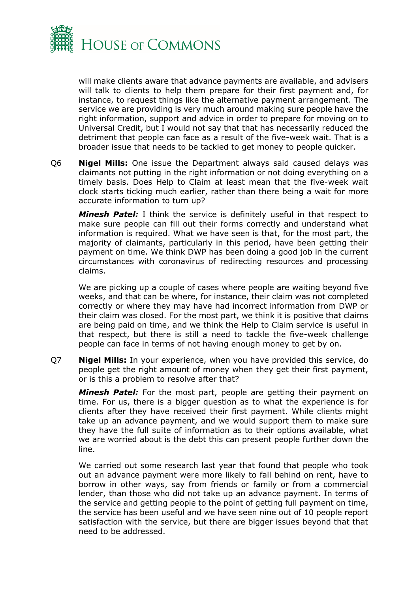

will make clients aware that advance payments are available, and advisers will talk to clients to help them prepare for their first payment and, for instance, to request things like the alternative payment arrangement. The service we are providing is very much around making sure people have the right information, support and advice in order to prepare for moving on to Universal Credit, but I would not say that that has necessarily reduced the detriment that people can face as a result of the five-week wait. That is a broader issue that needs to be tackled to get money to people quicker.

Q6 **Nigel Mills:** One issue the Department always said caused delays was claimants not putting in the right information or not doing everything on a timely basis. Does Help to Claim at least mean that the five-week wait clock starts ticking much earlier, rather than there being a wait for more accurate information to turn up?

*Minesh Patel:* I think the service is definitely useful in that respect to make sure people can fill out their forms correctly and understand what information is required. What we have seen is that, for the most part, the majority of claimants, particularly in this period, have been getting their payment on time. We think DWP has been doing a good job in the current circumstances with coronavirus of redirecting resources and processing claims.

We are picking up a couple of cases where people are waiting beyond five weeks, and that can be where, for instance, their claim was not completed correctly or where they may have had incorrect information from DWP or their claim was closed. For the most part, we think it is positive that claims are being paid on time, and we think the Help to Claim service is useful in that respect, but there is still a need to tackle the five-week challenge people can face in terms of not having enough money to get by on.

Q7 **Nigel Mills:** In your experience, when you have provided this service, do people get the right amount of money when they get their first payment, or is this a problem to resolve after that?

*Minesh Patel:* For the most part, people are getting their payment on time. For us, there is a bigger question as to what the experience is for clients after they have received their first payment. While clients might take up an advance payment, and we would support them to make sure they have the full suite of information as to their options available, what we are worried about is the debt this can present people further down the line.

We carried out some research last year that found that people who took out an advance payment were more likely to fall behind on rent, have to borrow in other ways, say from friends or family or from a commercial lender, than those who did not take up an advance payment. In terms of the service and getting people to the point of getting full payment on time, the service has been useful and we have seen nine out of 10 people report satisfaction with the service, but there are bigger issues beyond that that need to be addressed.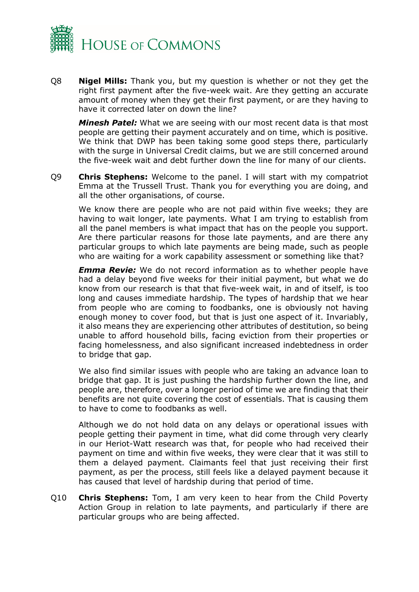

Q8 **Nigel Mills:** Thank you, but my question is whether or not they get the right first payment after the five-week wait. Are they getting an accurate amount of money when they get their first payment, or are they having to have it corrected later on down the line?

*Minesh Patel:* What we are seeing with our most recent data is that most people are getting their payment accurately and on time, which is positive. We think that DWP has been taking some good steps there, particularly with the surge in Universal Credit claims, but we are still concerned around the five-week wait and debt further down the line for many of our clients.

Q9 **Chris Stephens:** Welcome to the panel. I will start with my compatriot Emma at the Trussell Trust. Thank you for everything you are doing, and all the other organisations, of course.

We know there are people who are not paid within five weeks; they are having to wait longer, late payments. What I am trying to establish from all the panel members is what impact that has on the people you support. Are there particular reasons for those late payments, and are there any particular groups to which late payments are being made, such as people who are waiting for a work capability assessment or something like that?

*Emma Revie:* We do not record information as to whether people have had a delay beyond five weeks for their initial payment, but what we do know from our research is that that five-week wait, in and of itself, is too long and causes immediate hardship. The types of hardship that we hear from people who are coming to foodbanks, one is obviously not having enough money to cover food, but that is just one aspect of it. Invariably, it also means they are experiencing other attributes of destitution, so being unable to afford household bills, facing eviction from their properties or facing homelessness, and also significant increased indebtedness in order to bridge that gap.

We also find similar issues with people who are taking an advance loan to bridge that gap. It is just pushing the hardship further down the line, and people are, therefore, over a longer period of time we are finding that their benefits are not quite covering the cost of essentials. That is causing them to have to come to foodbanks as well.

Although we do not hold data on any delays or operational issues with people getting their payment in time, what did come through very clearly in our Heriot-Watt research was that, for people who had received their payment on time and within five weeks, they were clear that it was still to them a delayed payment. Claimants feel that just receiving their first payment, as per the process, still feels like a delayed payment because it has caused that level of hardship during that period of time.

Q10 **Chris Stephens:** Tom, I am very keen to hear from the Child Poverty Action Group in relation to late payments, and particularly if there are particular groups who are being affected.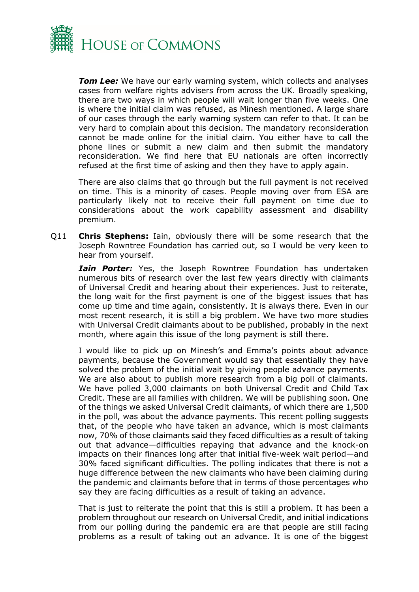

*Tom Lee:* We have our early warning system, which collects and analyses cases from welfare rights advisers from across the UK. Broadly speaking, there are two ways in which people will wait longer than five weeks. One is where the initial claim was refused, as Minesh mentioned. A large share of our cases through the early warning system can refer to that. It can be very hard to complain about this decision. The mandatory reconsideration cannot be made online for the initial claim. You either have to call the phone lines or submit a new claim and then submit the mandatory reconsideration. We find here that EU nationals are often incorrectly refused at the first time of asking and then they have to apply again.

There are also claims that go through but the full payment is not received on time. This is a minority of cases. People moving over from ESA are particularly likely not to receive their full payment on time due to considerations about the work capability assessment and disability premium.

Q11 **Chris Stephens:** Iain, obviously there will be some research that the Joseph Rowntree Foundation has carried out, so I would be very keen to hear from yourself.

*Iain Porter:* Yes, the Joseph Rowntree Foundation has undertaken numerous bits of research over the last few years directly with claimants of Universal Credit and hearing about their experiences. Just to reiterate, the long wait for the first payment is one of the biggest issues that has come up time and time again, consistently. It is always there. Even in our most recent research, it is still a big problem. We have two more studies with Universal Credit claimants about to be published, probably in the next month, where again this issue of the long payment is still there.

I would like to pick up on Minesh's and Emma's points about advance payments, because the Government would say that essentially they have solved the problem of the initial wait by giving people advance payments. We are also about to publish more research from a big poll of claimants. We have polled 3,000 claimants on both Universal Credit and Child Tax Credit. These are all families with children. We will be publishing soon. One of the things we asked Universal Credit claimants, of which there are 1,500 in the poll, was about the advance payments. This recent polling suggests that, of the people who have taken an advance, which is most claimants now, 70% of those claimants said they faced difficulties as a result of taking out that advance—difficulties repaying that advance and the knock-on impacts on their finances long after that initial five-week wait period—and 30% faced significant difficulties. The polling indicates that there is not a huge difference between the new claimants who have been claiming during the pandemic and claimants before that in terms of those percentages who say they are facing difficulties as a result of taking an advance.

That is just to reiterate the point that this is still a problem. It has been a problem throughout our research on Universal Credit, and initial indications from our polling during the pandemic era are that people are still facing problems as a result of taking out an advance. It is one of the biggest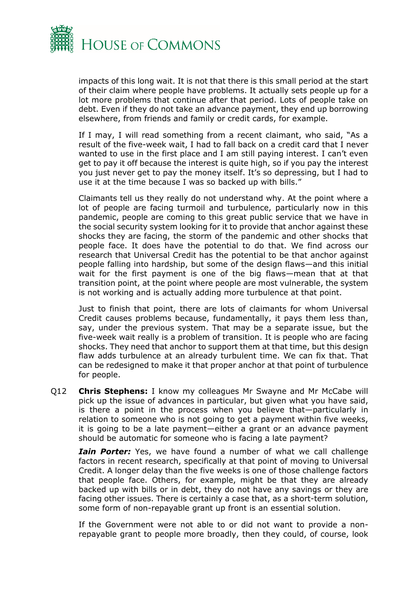

impacts of this long wait. It is not that there is this small period at the start of their claim where people have problems. It actually sets people up for a lot more problems that continue after that period. Lots of people take on debt. Even if they do not take an advance payment, they end up borrowing elsewhere, from friends and family or credit cards, for example.

If I may, I will read something from a recent claimant, who said, "As a result of the five-week wait, I had to fall back on a credit card that I never wanted to use in the first place and I am still paying interest. I can't even get to pay it off because the interest is quite high, so if you pay the interest you just never get to pay the money itself. It's so depressing, but I had to use it at the time because I was so backed up with bills."

Claimants tell us they really do not understand why. At the point where a lot of people are facing turmoil and turbulence, particularly now in this pandemic, people are coming to this great public service that we have in the social security system looking for it to provide that anchor against these shocks they are facing, the storm of the pandemic and other shocks that people face. It does have the potential to do that. We find across our research that Universal Credit has the potential to be that anchor against people falling into hardship, but some of the design flaws—and this initial wait for the first payment is one of the big flaws—mean that at that transition point, at the point where people are most vulnerable, the system is not working and is actually adding more turbulence at that point.

Just to finish that point, there are lots of claimants for whom Universal Credit causes problems because, fundamentally, it pays them less than, say, under the previous system. That may be a separate issue, but the five-week wait really is a problem of transition. It is people who are facing shocks. They need that anchor to support them at that time, but this design flaw adds turbulence at an already turbulent time. We can fix that. That can be redesigned to make it that proper anchor at that point of turbulence for people.

Q12 **Chris Stephens:** I know my colleagues Mr Swayne and Mr McCabe will pick up the issue of advances in particular, but given what you have said, is there a point in the process when you believe that—particularly in relation to someone who is not going to get a payment within five weeks, it is going to be a late payment—either a grant or an advance payment should be automatic for someone who is facing a late payment?

*Iain Porter:* Yes, we have found a number of what we call challenge factors in recent research, specifically at that point of moving to Universal Credit. A longer delay than the five weeks is one of those challenge factors that people face. Others, for example, might be that they are already backed up with bills or in debt, they do not have any savings or they are facing other issues. There is certainly a case that, as a short-term solution, some form of non-repayable grant up front is an essential solution.

If the Government were not able to or did not want to provide a nonrepayable grant to people more broadly, then they could, of course, look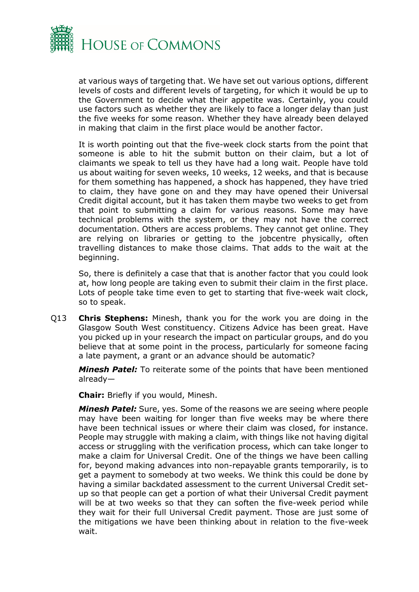

at various ways of targeting that. We have set out various options, different levels of costs and different levels of targeting, for which it would be up to the Government to decide what their appetite was. Certainly, you could use factors such as whether they are likely to face a longer delay than just the five weeks for some reason. Whether they have already been delayed in making that claim in the first place would be another factor.

It is worth pointing out that the five-week clock starts from the point that someone is able to hit the submit button on their claim, but a lot of claimants we speak to tell us they have had a long wait. People have told us about waiting for seven weeks, 10 weeks, 12 weeks, and that is because for them something has happened, a shock has happened, they have tried to claim, they have gone on and they may have opened their Universal Credit digital account, but it has taken them maybe two weeks to get from that point to submitting a claim for various reasons. Some may have technical problems with the system, or they may not have the correct documentation. Others are access problems. They cannot get online. They are relying on libraries or getting to the jobcentre physically, often travelling distances to make those claims. That adds to the wait at the beginning.

So, there is definitely a case that that is another factor that you could look at, how long people are taking even to submit their claim in the first place. Lots of people take time even to get to starting that five-week wait clock, so to speak.

Q13 **Chris Stephens:** Minesh, thank you for the work you are doing in the Glasgow South West constituency. Citizens Advice has been great. Have you picked up in your research the impact on particular groups, and do you believe that at some point in the process, particularly for someone facing a late payment, a grant or an advance should be automatic?

*Minesh Patel:* To reiterate some of the points that have been mentioned already—

**Chair:** Briefly if you would, Minesh.

*Minesh Patel:* Sure, yes. Some of the reasons we are seeing where people may have been waiting for longer than five weeks may be where there have been technical issues or where their claim was closed, for instance. People may struggle with making a claim, with things like not having digital access or struggling with the verification process, which can take longer to make a claim for Universal Credit. One of the things we have been calling for, beyond making advances into non-repayable grants temporarily, is to get a payment to somebody at two weeks. We think this could be done by having a similar backdated assessment to the current Universal Credit setup so that people can get a portion of what their Universal Credit payment will be at two weeks so that they can soften the five-week period while they wait for their full Universal Credit payment. Those are just some of the mitigations we have been thinking about in relation to the five-week wait.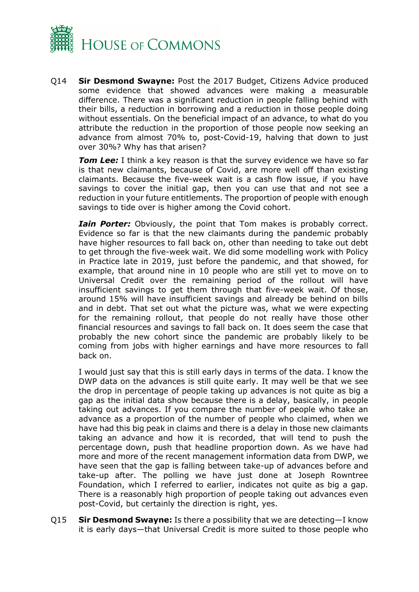

Q14 **Sir Desmond Swayne:** Post the 2017 Budget, Citizens Advice produced some evidence that showed advances were making a measurable difference. There was a significant reduction in people falling behind with their bills, a reduction in borrowing and a reduction in those people doing without essentials. On the beneficial impact of an advance, to what do you attribute the reduction in the proportion of those people now seeking an advance from almost 70% to, post-Covid-19, halving that down to just over 30%? Why has that arisen?

**Tom Lee:** I think a key reason is that the survey evidence we have so far is that new claimants, because of Covid, are more well off than existing claimants. Because the five-week wait is a cash flow issue, if you have savings to cover the initial gap, then you can use that and not see a reduction in your future entitlements. The proportion of people with enough savings to tide over is higher among the Covid cohort.

*Iain Porter:* Obviously, the point that Tom makes is probably correct. Evidence so far is that the new claimants during the pandemic probably have higher resources to fall back on, other than needing to take out debt to get through the five-week wait. We did some modelling work with Policy in Practice late in 2019, just before the pandemic, and that showed, for example, that around nine in 10 people who are still yet to move on to Universal Credit over the remaining period of the rollout will have insufficient savings to get them through that five-week wait. Of those, around 15% will have insufficient savings and already be behind on bills and in debt. That set out what the picture was, what we were expecting for the remaining rollout, that people do not really have those other financial resources and savings to fall back on. It does seem the case that probably the new cohort since the pandemic are probably likely to be coming from jobs with higher earnings and have more resources to fall back on.

I would just say that this is still early days in terms of the data. I know the DWP data on the advances is still quite early. It may well be that we see the drop in percentage of people taking up advances is not quite as big a gap as the initial data show because there is a delay, basically, in people taking out advances. If you compare the number of people who take an advance as a proportion of the number of people who claimed, when we have had this big peak in claims and there is a delay in those new claimants taking an advance and how it is recorded, that will tend to push the percentage down, push that headline proportion down. As we have had more and more of the recent management information data from DWP, we have seen that the gap is falling between take-up of advances before and take-up after. The polling we have just done at Joseph Rowntree Foundation, which I referred to earlier, indicates not quite as big a gap. There is a reasonably high proportion of people taking out advances even post-Covid, but certainly the direction is right, yes.

Q15 **Sir Desmond Swayne:** Is there a possibility that we are detecting—I know it is early days—that Universal Credit is more suited to those people who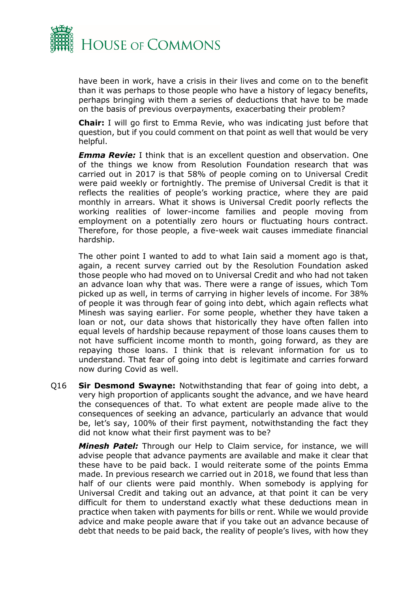

have been in work, have a crisis in their lives and come on to the benefit than it was perhaps to those people who have a history of legacy benefits, perhaps bringing with them a series of deductions that have to be made on the basis of previous overpayments, exacerbating their problem?

**Chair:** I will go first to Emma Revie, who was indicating just before that question, but if you could comment on that point as well that would be very helpful.

*Emma Revie:* I think that is an excellent question and observation. One of the things we know from Resolution Foundation research that was carried out in 2017 is that 58% of people coming on to Universal Credit were paid weekly or fortnightly. The premise of Universal Credit is that it reflects the realities of people's working practice, where they are paid monthly in arrears. What it shows is Universal Credit poorly reflects the working realities of lower-income families and people moving from employment on a potentially zero hours or fluctuating hours contract. Therefore, for those people, a five-week wait causes immediate financial hardship.

The other point I wanted to add to what Iain said a moment ago is that, again, a recent survey carried out by the Resolution Foundation asked those people who had moved on to Universal Credit and who had not taken an advance loan why that was. There were a range of issues, which Tom picked up as well, in terms of carrying in higher levels of income. For 38% of people it was through fear of going into debt, which again reflects what Minesh was saying earlier. For some people, whether they have taken a loan or not, our data shows that historically they have often fallen into equal levels of hardship because repayment of those loans causes them to not have sufficient income month to month, going forward, as they are repaying those loans. I think that is relevant information for us to understand. That fear of going into debt is legitimate and carries forward now during Covid as well.

Q16 **Sir Desmond Swayne:** Notwithstanding that fear of going into debt, a very high proportion of applicants sought the advance, and we have heard the consequences of that. To what extent are people made alive to the consequences of seeking an advance, particularly an advance that would be, let's say, 100% of their first payment, notwithstanding the fact they did not know what their first payment was to be?

*Minesh Patel:* Through our Help to Claim service, for instance, we will advise people that advance payments are available and make it clear that these have to be paid back. I would reiterate some of the points Emma made. In previous research we carried out in 2018, we found that less than half of our clients were paid monthly. When somebody is applying for Universal Credit and taking out an advance, at that point it can be very difficult for them to understand exactly what these deductions mean in practice when taken with payments for bills or rent. While we would provide advice and make people aware that if you take out an advance because of debt that needs to be paid back, the reality of people's lives, with how they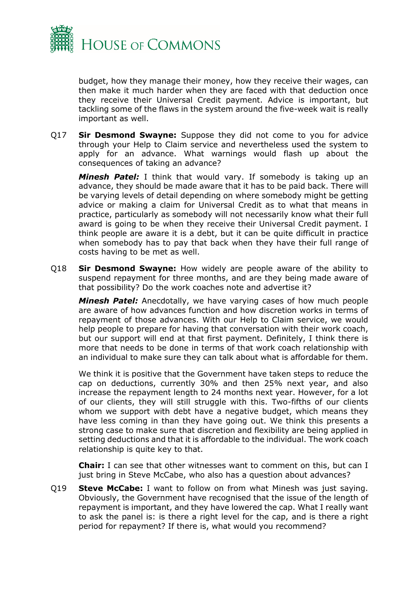

budget, how they manage their money, how they receive their wages, can then make it much harder when they are faced with that deduction once they receive their Universal Credit payment. Advice is important, but tackling some of the flaws in the system around the five-week wait is really important as well.

Q17 **Sir Desmond Swayne:** Suppose they did not come to you for advice through your Help to Claim service and nevertheless used the system to apply for an advance. What warnings would flash up about the consequences of taking an advance?

*Minesh Patel:* I think that would vary. If somebody is taking up an advance, they should be made aware that it has to be paid back. There will be varying levels of detail depending on where somebody might be getting advice or making a claim for Universal Credit as to what that means in practice, particularly as somebody will not necessarily know what their full award is going to be when they receive their Universal Credit payment. I think people are aware it is a debt, but it can be quite difficult in practice when somebody has to pay that back when they have their full range of costs having to be met as well.

Q18 **Sir Desmond Swayne:** How widely are people aware of the ability to suspend repayment for three months, and are they being made aware of that possibility? Do the work coaches note and advertise it?

*Minesh Patel:* Anecdotally, we have varying cases of how much people are aware of how advances function and how discretion works in terms of repayment of those advances. With our Help to Claim service, we would help people to prepare for having that conversation with their work coach, but our support will end at that first payment. Definitely, I think there is more that needs to be done in terms of that work coach relationship with an individual to make sure they can talk about what is affordable for them.

We think it is positive that the Government have taken steps to reduce the cap on deductions, currently 30% and then 25% next year, and also increase the repayment length to 24 months next year. However, for a lot of our clients, they will still struggle with this. Two-fifths of our clients whom we support with debt have a negative budget, which means they have less coming in than they have going out. We think this presents a strong case to make sure that discretion and flexibility are being applied in setting deductions and that it is affordable to the individual. The work coach relationship is quite key to that.

**Chair:** I can see that other witnesses want to comment on this, but can I just bring in Steve McCabe, who also has a question about advances?

Q19 **Steve McCabe:** I want to follow on from what Minesh was just saying. Obviously, the Government have recognised that the issue of the length of repayment is important, and they have lowered the cap. What I really want to ask the panel is: is there a right level for the cap, and is there a right period for repayment? If there is, what would you recommend?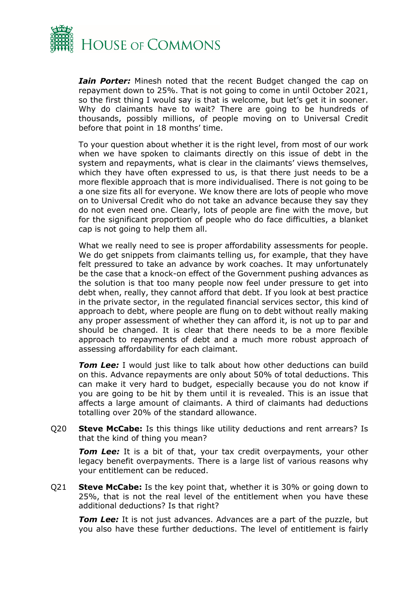

*Iain Porter:* Minesh noted that the recent Budget changed the cap on repayment down to 25%. That is not going to come in until October 2021, so the first thing I would say is that is welcome, but let's get it in sooner. Why do claimants have to wait? There are going to be hundreds of thousands, possibly millions, of people moving on to Universal Credit before that point in 18 months' time.

To your question about whether it is the right level, from most of our work when we have spoken to claimants directly on this issue of debt in the system and repayments, what is clear in the claimants' views themselves, which they have often expressed to us, is that there just needs to be a more flexible approach that is more individualised. There is not going to be a one size fits all for everyone. We know there are lots of people who move on to Universal Credit who do not take an advance because they say they do not even need one. Clearly, lots of people are fine with the move, but for the significant proportion of people who do face difficulties, a blanket cap is not going to help them all.

What we really need to see is proper affordability assessments for people. We do get snippets from claimants telling us, for example, that they have felt pressured to take an advance by work coaches. It may unfortunately be the case that a knock-on effect of the Government pushing advances as the solution is that too many people now feel under pressure to get into debt when, really, they cannot afford that debt. If you look at best practice in the private sector, in the regulated financial services sector, this kind of approach to debt, where people are flung on to debt without really making any proper assessment of whether they can afford it, is not up to par and should be changed. It is clear that there needs to be a more flexible approach to repayments of debt and a much more robust approach of assessing affordability for each claimant.

**Tom Lee:** I would just like to talk about how other deductions can build on this. Advance repayments are only about 50% of total deductions. This can make it very hard to budget, especially because you do not know if you are going to be hit by them until it is revealed. This is an issue that affects a large amount of claimants. A third of claimants had deductions totalling over 20% of the standard allowance.

Q20 **Steve McCabe:** Is this things like utility deductions and rent arrears? Is that the kind of thing you mean?

*Tom Lee:* It is a bit of that, your tax credit overpayments, your other legacy benefit overpayments. There is a large list of various reasons why your entitlement can be reduced.

Q21 **Steve McCabe:** Is the key point that, whether it is 30% or going down to 25%, that is not the real level of the entitlement when you have these additional deductions? Is that right?

**Tom Lee:** It is not just advances. Advances are a part of the puzzle, but you also have these further deductions. The level of entitlement is fairly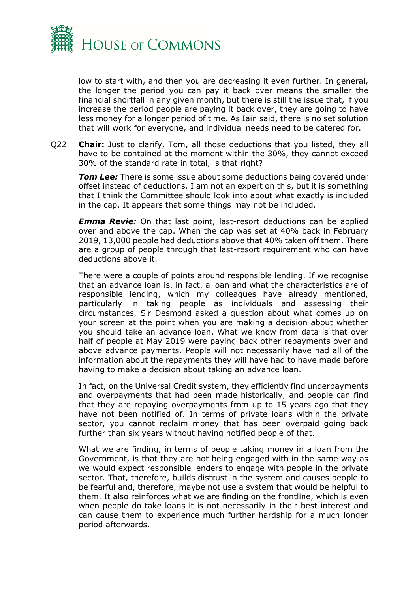

low to start with, and then you are decreasing it even further. In general, the longer the period you can pay it back over means the smaller the financial shortfall in any given month, but there is still the issue that, if you increase the period people are paying it back over, they are going to have less money for a longer period of time. As Iain said, there is no set solution that will work for everyone, and individual needs need to be catered for.

Q22 **Chair:** Just to clarify, Tom, all those deductions that you listed, they all have to be contained at the moment within the 30%, they cannot exceed 30% of the standard rate in total, is that right?

*Tom Lee:* There is some issue about some deductions being covered under offset instead of deductions. I am not an expert on this, but it is something that I think the Committee should look into about what exactly is included in the cap. It appears that some things may not be included.

*Emma Revie:* On that last point, last-resort deductions can be applied over and above the cap. When the cap was set at 40% back in February 2019, 13,000 people had deductions above that 40% taken off them. There are a group of people through that last-resort requirement who can have deductions above it.

There were a couple of points around responsible lending. If we recognise that an advance loan is, in fact, a loan and what the characteristics are of responsible lending, which my colleagues have already mentioned, particularly in taking people as individuals and assessing their circumstances, Sir Desmond asked a question about what comes up on your screen at the point when you are making a decision about whether you should take an advance loan. What we know from data is that over half of people at May 2019 were paying back other repayments over and above advance payments. People will not necessarily have had all of the information about the repayments they will have had to have made before having to make a decision about taking an advance loan.

In fact, on the Universal Credit system, they efficiently find underpayments and overpayments that had been made historically, and people can find that they are repaying overpayments from up to 15 years ago that they have not been notified of. In terms of private loans within the private sector, you cannot reclaim money that has been overpaid going back further than six years without having notified people of that.

What we are finding, in terms of people taking money in a loan from the Government, is that they are not being engaged with in the same way as we would expect responsible lenders to engage with people in the private sector. That, therefore, builds distrust in the system and causes people to be fearful and, therefore, maybe not use a system that would be helpful to them. It also reinforces what we are finding on the frontline, which is even when people do take loans it is not necessarily in their best interest and can cause them to experience much further hardship for a much longer period afterwards.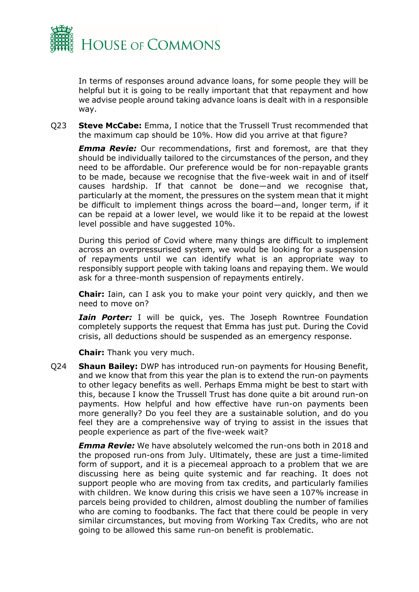

In terms of responses around advance loans, for some people they will be helpful but it is going to be really important that that repayment and how we advise people around taking advance loans is dealt with in a responsible way.

Q23 **Steve McCabe:** Emma, I notice that the Trussell Trust recommended that the maximum cap should be 10%. How did you arrive at that figure?

*Emma Revie:* Our recommendations, first and foremost, are that they should be individually tailored to the circumstances of the person, and they need to be affordable. Our preference would be for non-repayable grants to be made, because we recognise that the five-week wait in and of itself causes hardship. If that cannot be done—and we recognise that, particularly at the moment, the pressures on the system mean that it might be difficult to implement things across the board—and, longer term, if it can be repaid at a lower level, we would like it to be repaid at the lowest level possible and have suggested 10%.

During this period of Covid where many things are difficult to implement across an overpressurised system, we would be looking for a suspension of repayments until we can identify what is an appropriate way to responsibly support people with taking loans and repaying them. We would ask for a three-month suspension of repayments entirely.

**Chair:** Iain, can I ask you to make your point very quickly, and then we need to move on?

*Iain Porter:* I will be quick, yes. The Joseph Rowntree Foundation completely supports the request that Emma has just put. During the Covid crisis, all deductions should be suspended as an emergency response.

**Chair:** Thank you very much.

Q24 **Shaun Bailey:** DWP has introduced run-on payments for Housing Benefit, and we know that from this year the plan is to extend the run-on payments to other legacy benefits as well. Perhaps Emma might be best to start with this, because I know the Trussell Trust has done quite a bit around run-on payments. How helpful and how effective have run-on payments been more generally? Do you feel they are a sustainable solution, and do you feel they are a comprehensive way of trying to assist in the issues that people experience as part of the five-week wait?

*Emma Revie:* We have absolutely welcomed the run-ons both in 2018 and the proposed run-ons from July. Ultimately, these are just a time-limited form of support, and it is a piecemeal approach to a problem that we are discussing here as being quite systemic and far reaching. It does not support people who are moving from tax credits, and particularly families with children. We know during this crisis we have seen a 107% increase in parcels being provided to children, almost doubling the number of families who are coming to foodbanks. The fact that there could be people in very similar circumstances, but moving from Working Tax Credits, who are not going to be allowed this same run-on benefit is problematic.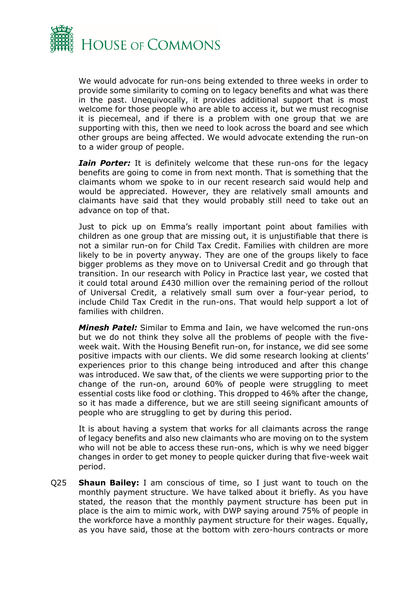

We would advocate for run-ons being extended to three weeks in order to provide some similarity to coming on to legacy benefits and what was there in the past. Unequivocally, it provides additional support that is most welcome for those people who are able to access it, but we must recognise it is piecemeal, and if there is a problem with one group that we are supporting with this, then we need to look across the board and see which other groups are being affected. We would advocate extending the run-on to a wider group of people.

*Iain Porter:* It is definitely welcome that these run-ons for the legacy benefits are going to come in from next month. That is something that the claimants whom we spoke to in our recent research said would help and would be appreciated. However, they are relatively small amounts and claimants have said that they would probably still need to take out an advance on top of that.

Just to pick up on Emma's really important point about families with children as one group that are missing out, it is unjustifiable that there is not a similar run-on for Child Tax Credit. Families with children are more likely to be in poverty anyway. They are one of the groups likely to face bigger problems as they move on to Universal Credit and go through that transition. In our research with Policy in Practice last year, we costed that it could total around £430 million over the remaining period of the rollout of Universal Credit, a relatively small sum over a four-year period, to include Child Tax Credit in the run-ons. That would help support a lot of families with children.

*Minesh Patel:* Similar to Emma and Iain, we have welcomed the run-ons but we do not think they solve all the problems of people with the fiveweek wait. With the Housing Benefit run-on, for instance, we did see some positive impacts with our clients. We did some research looking at clients' experiences prior to this change being introduced and after this change was introduced. We saw that, of the clients we were supporting prior to the change of the run-on, around 60% of people were struggling to meet essential costs like food or clothing. This dropped to 46% after the change, so it has made a difference, but we are still seeing significant amounts of people who are struggling to get by during this period.

It is about having a system that works for all claimants across the range of legacy benefits and also new claimants who are moving on to the system who will not be able to access these run-ons, which is why we need bigger changes in order to get money to people quicker during that five-week wait period.

Q25 **Shaun Bailey:** I am conscious of time, so I just want to touch on the monthly payment structure. We have talked about it briefly. As you have stated, the reason that the monthly payment structure has been put in place is the aim to mimic work, with DWP saying around 75% of people in the workforce have a monthly payment structure for their wages. Equally, as you have said, those at the bottom with zero-hours contracts or more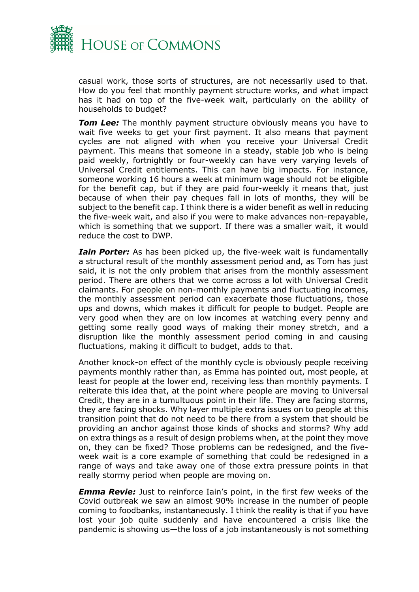

casual work, those sorts of structures, are not necessarily used to that. How do you feel that monthly payment structure works, and what impact has it had on top of the five-week wait, particularly on the ability of households to budget?

*Tom Lee:* The monthly payment structure obviously means you have to wait five weeks to get your first payment. It also means that payment cycles are not aligned with when you receive your Universal Credit payment. This means that someone in a steady, stable job who is being paid weekly, fortnightly or four-weekly can have very varying levels of Universal Credit entitlements. This can have big impacts. For instance, someone working 16 hours a week at minimum wage should not be eligible for the benefit cap, but if they are paid four-weekly it means that, just because of when their pay cheques fall in lots of months, they will be subject to the benefit cap. I think there is a wider benefit as well in reducing the five-week wait, and also if you were to make advances non-repayable, which is something that we support. If there was a smaller wait, it would reduce the cost to DWP.

*Iain Porter:* As has been picked up, the five-week wait is fundamentally a structural result of the monthly assessment period and, as Tom has just said, it is not the only problem that arises from the monthly assessment period. There are others that we come across a lot with Universal Credit claimants. For people on non-monthly payments and fluctuating incomes, the monthly assessment period can exacerbate those fluctuations, those ups and downs, which makes it difficult for people to budget. People are very good when they are on low incomes at watching every penny and getting some really good ways of making their money stretch, and a disruption like the monthly assessment period coming in and causing fluctuations, making it difficult to budget, adds to that.

Another knock-on effect of the monthly cycle is obviously people receiving payments monthly rather than, as Emma has pointed out, most people, at least for people at the lower end, receiving less than monthly payments. I reiterate this idea that, at the point where people are moving to Universal Credit, they are in a tumultuous point in their life. They are facing storms, they are facing shocks. Why layer multiple extra issues on to people at this transition point that do not need to be there from a system that should be providing an anchor against those kinds of shocks and storms? Why add on extra things as a result of design problems when, at the point they move on, they can be fixed? Those problems can be redesigned, and the fiveweek wait is a core example of something that could be redesigned in a range of ways and take away one of those extra pressure points in that really stormy period when people are moving on.

*Emma Revie:* Just to reinforce Iain's point, in the first few weeks of the Covid outbreak we saw an almost 90% increase in the number of people coming to foodbanks, instantaneously. I think the reality is that if you have lost your job quite suddenly and have encountered a crisis like the pandemic is showing us—the loss of a job instantaneously is not something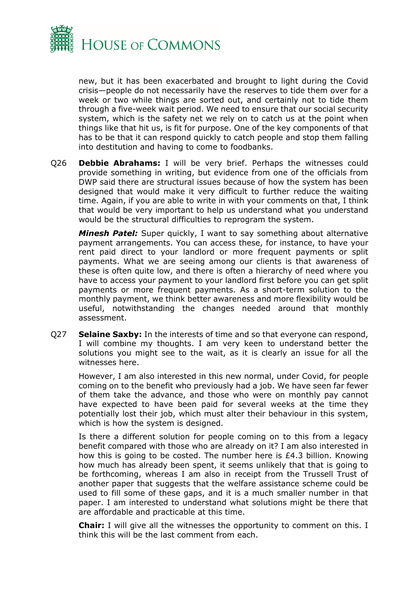

new, but it has been exacerbated and brought to light during the Covid crisis—people do not necessarily have the reserves to tide them over for a week or two while things are sorted out, and certainly not to tide them through a five-week wait period. We need to ensure that our social security system, which is the safety net we rely on to catch us at the point when things like that hit us, is fit for purpose. One of the key components of that has to be that it can respond quickly to catch people and stop them falling into destitution and having to come to foodbanks.

Q26 **Debbie Abrahams:** I will be very brief. Perhaps the witnesses could provide something in writing, but evidence from one of the officials from DWP said there are structural issues because of how the system has been designed that would make it very difficult to further reduce the waiting time. Again, if you are able to write in with your comments on that, I think that would be very important to help us understand what you understand would be the structural difficulties to reprogram the system.

*Minesh Patel:* Super quickly, I want to say something about alternative payment arrangements. You can access these, for instance, to have your rent paid direct to your landlord or more frequent payments or split payments. What we are seeing among our clients is that awareness of these is often quite low, and there is often a hierarchy of need where you have to access your payment to your landlord first before you can get split payments or more frequent payments. As a short-term solution to the monthly payment, we think better awareness and more flexibility would be useful, notwithstanding the changes needed around that monthly assessment.

Q27 **Selaine Saxby:** In the interests of time and so that everyone can respond, I will combine my thoughts. I am very keen to understand better the solutions you might see to the wait, as it is clearly an issue for all the witnesses here.

However, I am also interested in this new normal, under Covid, for people coming on to the benefit who previously had a job. We have seen far fewer of them take the advance, and those who were on monthly pay cannot have expected to have been paid for several weeks at the time they potentially lost their job, which must alter their behaviour in this system, which is how the system is designed.

Is there a different solution for people coming on to this from a legacy benefit compared with those who are already on it? I am also interested in how this is going to be costed. The number here is  $£4.3$  billion. Knowing how much has already been spent, it seems unlikely that that is going to be forthcoming, whereas I am also in receipt from the Trussell Trust of another paper that suggests that the welfare assistance scheme could be used to fill some of these gaps, and it is a much smaller number in that paper. I am interested to understand what solutions might be there that are affordable and practicable at this time.

**Chair:** I will give all the witnesses the opportunity to comment on this. I think this will be the last comment from each.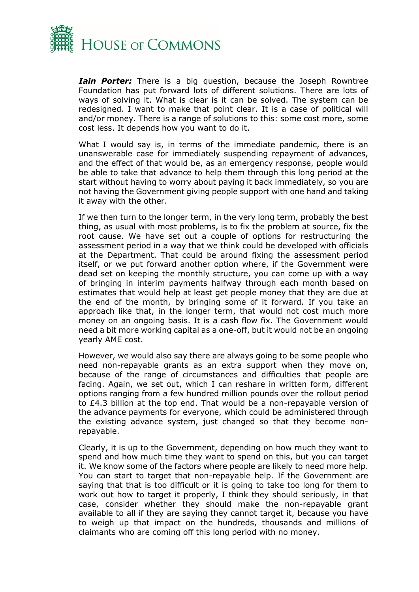

*Iain Porter:* There is a big question, because the Joseph Rowntree Foundation has put forward lots of different solutions. There are lots of ways of solving it. What is clear is it can be solved. The system can be redesigned. I want to make that point clear. It is a case of political will and/or money. There is a range of solutions to this: some cost more, some cost less. It depends how you want to do it.

What I would say is, in terms of the immediate pandemic, there is an unanswerable case for immediately suspending repayment of advances, and the effect of that would be, as an emergency response, people would be able to take that advance to help them through this long period at the start without having to worry about paying it back immediately, so you are not having the Government giving people support with one hand and taking it away with the other.

If we then turn to the longer term, in the very long term, probably the best thing, as usual with most problems, is to fix the problem at source, fix the root cause. We have set out a couple of options for restructuring the assessment period in a way that we think could be developed with officials at the Department. That could be around fixing the assessment period itself, or we put forward another option where, if the Government were dead set on keeping the monthly structure, you can come up with a way of bringing in interim payments halfway through each month based on estimates that would help at least get people money that they are due at the end of the month, by bringing some of it forward. If you take an approach like that, in the longer term, that would not cost much more money on an ongoing basis. It is a cash flow fix. The Government would need a bit more working capital as a one-off, but it would not be an ongoing yearly AME cost.

However, we would also say there are always going to be some people who need non-repayable grants as an extra support when they move on, because of the range of circumstances and difficulties that people are facing. Again, we set out, which I can reshare in written form, different options ranging from a few hundred million pounds over the rollout period to £4.3 billion at the top end. That would be a non-repayable version of the advance payments for everyone, which could be administered through the existing advance system, just changed so that they become nonrepayable.

Clearly, it is up to the Government, depending on how much they want to spend and how much time they want to spend on this, but you can target it. We know some of the factors where people are likely to need more help. You can start to target that non-repayable help. If the Government are saying that that is too difficult or it is going to take too long for them to work out how to target it properly, I think they should seriously, in that case, consider whether they should make the non-repayable grant available to all if they are saying they cannot target it, because you have to weigh up that impact on the hundreds, thousands and millions of claimants who are coming off this long period with no money.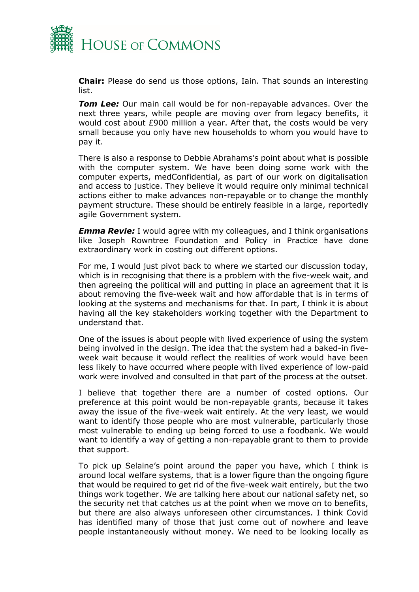

**Chair:** Please do send us those options, Iain. That sounds an interesting list.

*Tom Lee:* Our main call would be for non-repayable advances. Over the next three years, while people are moving over from legacy benefits, it would cost about £900 million a year. After that, the costs would be very small because you only have new households to whom you would have to pay it.

There is also a response to Debbie Abrahams's point about what is possible with the computer system. We have been doing some work with the computer experts, medConfidential, as part of our work on digitalisation and access to justice. They believe it would require only minimal technical actions either to make advances non-repayable or to change the monthly payment structure. These should be entirely feasible in a large, reportedly agile Government system.

*Emma Revie:* I would agree with my colleagues, and I think organisations like Joseph Rowntree Foundation and Policy in Practice have done extraordinary work in costing out different options.

For me, I would just pivot back to where we started our discussion today, which is in recognising that there is a problem with the five-week wait, and then agreeing the political will and putting in place an agreement that it is about removing the five-week wait and how affordable that is in terms of looking at the systems and mechanisms for that. In part, I think it is about having all the key stakeholders working together with the Department to understand that.

One of the issues is about people with lived experience of using the system being involved in the design. The idea that the system had a baked-in fiveweek wait because it would reflect the realities of work would have been less likely to have occurred where people with lived experience of low-paid work were involved and consulted in that part of the process at the outset.

I believe that together there are a number of costed options. Our preference at this point would be non-repayable grants, because it takes away the issue of the five-week wait entirely. At the very least, we would want to identify those people who are most vulnerable, particularly those most vulnerable to ending up being forced to use a foodbank. We would want to identify a way of getting a non-repayable grant to them to provide that support.

To pick up Selaine's point around the paper you have, which I think is around local welfare systems, that is a lower figure than the ongoing figure that would be required to get rid of the five-week wait entirely, but the two things work together. We are talking here about our national safety net, so the security net that catches us at the point when we move on to benefits, but there are also always unforeseen other circumstances. I think Covid has identified many of those that just come out of nowhere and leave people instantaneously without money. We need to be looking locally as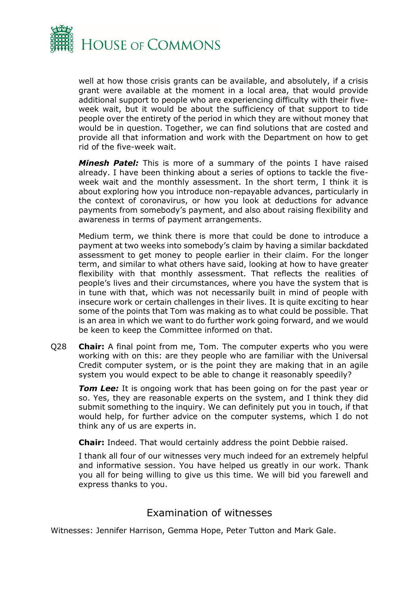

well at how those crisis grants can be available, and absolutely, if a crisis grant were available at the moment in a local area, that would provide additional support to people who are experiencing difficulty with their fiveweek wait, but it would be about the sufficiency of that support to tide people over the entirety of the period in which they are without money that would be in question. Together, we can find solutions that are costed and provide all that information and work with the Department on how to get rid of the five-week wait.

*Minesh Patel:* This is more of a summary of the points I have raised already. I have been thinking about a series of options to tackle the fiveweek wait and the monthly assessment. In the short term, I think it is about exploring how you introduce non-repayable advances, particularly in the context of coronavirus, or how you look at deductions for advance payments from somebody's payment, and also about raising flexibility and awareness in terms of payment arrangements.

Medium term, we think there is more that could be done to introduce a payment at two weeks into somebody's claim by having a similar backdated assessment to get money to people earlier in their claim. For the longer term, and similar to what others have said, looking at how to have greater flexibility with that monthly assessment. That reflects the realities of people's lives and their circumstances, where you have the system that is in tune with that, which was not necessarily built in mind of people with insecure work or certain challenges in their lives. It is quite exciting to hear some of the points that Tom was making as to what could be possible. That is an area in which we want to do further work going forward, and we would be keen to keep the Committee informed on that.

Q28 **Chair:** A final point from me, Tom. The computer experts who you were working with on this: are they people who are familiar with the Universal Credit computer system, or is the point they are making that in an agile system you would expect to be able to change it reasonably speedily?

*Tom Lee:* It is ongoing work that has been going on for the past year or so. Yes, they are reasonable experts on the system, and I think they did submit something to the inquiry. We can definitely put you in touch, if that would help, for further advice on the computer systems, which I do not think any of us are experts in.

**Chair:** Indeed. That would certainly address the point Debbie raised.

I thank all four of our witnesses very much indeed for an extremely helpful and informative session. You have helped us greatly in our work. Thank you all for being willing to give us this time. We will bid you farewell and express thanks to you.

### Examination of witnesses

<span id="page-20-0"></span>Witnesses: Jennifer Harrison, Gemma Hope, Peter Tutton and Mark Gale.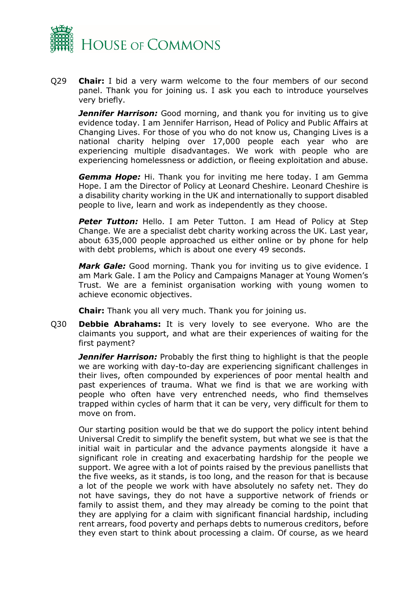

Q29 **Chair:** I bid a very warm welcome to the four members of our second panel. Thank you for joining us. I ask you each to introduce yourselves very briefly.

**Jennifer Harrison:** Good morning, and thank you for inviting us to give evidence today. I am Jennifer Harrison, Head of Policy and Public Affairs at Changing Lives. For those of you who do not know us, Changing Lives is a national charity helping over 17,000 people each year who are experiencing multiple disadvantages. We work with people who are experiencing homelessness or addiction, or fleeing exploitation and abuse.

*Gemma Hope:* Hi. Thank you for inviting me here today. I am Gemma Hope. I am the Director of Policy at Leonard Cheshire. Leonard Cheshire is a disability charity working in the UK and internationally to support disabled people to live, learn and work as independently as they choose.

**Peter Tutton:** Hello. I am Peter Tutton. I am Head of Policy at Step Change. We are a specialist debt charity working across the UK. Last year, about 635,000 people approached us either online or by phone for help with debt problems, which is about one every 49 seconds.

*Mark Gale:* Good morning. Thank you for inviting us to give evidence. I am Mark Gale. I am the Policy and Campaigns Manager at Young Women's Trust. We are a feminist organisation working with young women to achieve economic objectives.

**Chair:** Thank you all very much. Thank you for joining us.

Q30 **Debbie Abrahams:** It is very lovely to see everyone. Who are the claimants you support, and what are their experiences of waiting for the first payment?

**Jennifer Harrison:** Probably the first thing to highlight is that the people we are working with day-to-day are experiencing significant challenges in their lives, often compounded by experiences of poor mental health and past experiences of trauma. What we find is that we are working with people who often have very entrenched needs, who find themselves trapped within cycles of harm that it can be very, very difficult for them to move on from.

Our starting position would be that we do support the policy intent behind Universal Credit to simplify the benefit system, but what we see is that the initial wait in particular and the advance payments alongside it have a significant role in creating and exacerbating hardship for the people we support. We agree with a lot of points raised by the previous panellists that the five weeks, as it stands, is too long, and the reason for that is because a lot of the people we work with have absolutely no safety net. They do not have savings, they do not have a supportive network of friends or family to assist them, and they may already be coming to the point that they are applying for a claim with significant financial hardship, including rent arrears, food poverty and perhaps debts to numerous creditors, before they even start to think about processing a claim. Of course, as we heard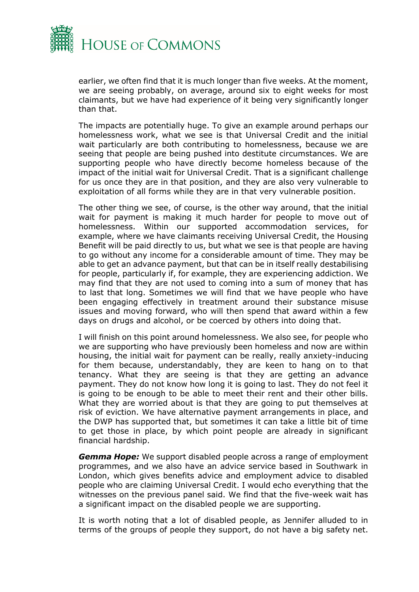

earlier, we often find that it is much longer than five weeks. At the moment, we are seeing probably, on average, around six to eight weeks for most claimants, but we have had experience of it being very significantly longer than that.

The impacts are potentially huge. To give an example around perhaps our homelessness work, what we see is that Universal Credit and the initial wait particularly are both contributing to homelessness, because we are seeing that people are being pushed into destitute circumstances. We are supporting people who have directly become homeless because of the impact of the initial wait for Universal Credit. That is a significant challenge for us once they are in that position, and they are also very vulnerable to exploitation of all forms while they are in that very vulnerable position.

The other thing we see, of course, is the other way around, that the initial wait for payment is making it much harder for people to move out of homelessness. Within our supported accommodation services, for example, where we have claimants receiving Universal Credit, the Housing Benefit will be paid directly to us, but what we see is that people are having to go without any income for a considerable amount of time. They may be able to get an advance payment, but that can be in itself really destabilising for people, particularly if, for example, they are experiencing addiction. We may find that they are not used to coming into a sum of money that has to last that long. Sometimes we will find that we have people who have been engaging effectively in treatment around their substance misuse issues and moving forward, who will then spend that award within a few days on drugs and alcohol, or be coerced by others into doing that.

I will finish on this point around homelessness. We also see, for people who we are supporting who have previously been homeless and now are within housing, the initial wait for payment can be really, really anxiety-inducing for them because, understandably, they are keen to hang on to that tenancy. What they are seeing is that they are getting an advance payment. They do not know how long it is going to last. They do not feel it is going to be enough to be able to meet their rent and their other bills. What they are worried about is that they are going to put themselves at risk of eviction. We have alternative payment arrangements in place, and the DWP has supported that, but sometimes it can take a little bit of time to get those in place, by which point people are already in significant financial hardship.

*Gemma Hope:* We support disabled people across a range of employment programmes, and we also have an advice service based in Southwark in London, which gives benefits advice and employment advice to disabled people who are claiming Universal Credit. I would echo everything that the witnesses on the previous panel said. We find that the five-week wait has a significant impact on the disabled people we are supporting.

It is worth noting that a lot of disabled people, as Jennifer alluded to in terms of the groups of people they support, do not have a big safety net.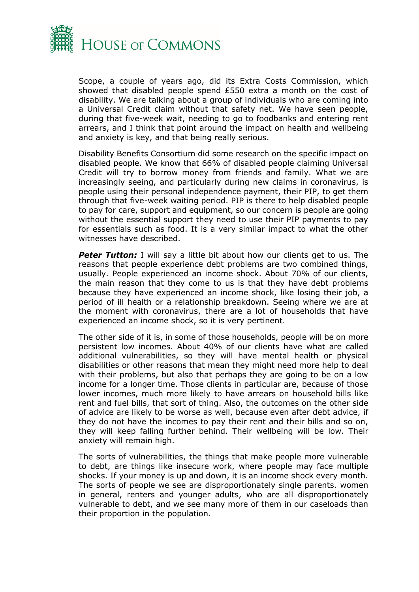

Scope, a couple of years ago, did its Extra Costs Commission, which showed that disabled people spend £550 extra a month on the cost of disability. We are talking about a group of individuals who are coming into a Universal Credit claim without that safety net. We have seen people, during that five-week wait, needing to go to foodbanks and entering rent arrears, and I think that point around the impact on health and wellbeing and anxiety is key, and that being really serious.

Disability Benefits Consortium did some research on the specific impact on disabled people. We know that 66% of disabled people claiming Universal Credit will try to borrow money from friends and family. What we are increasingly seeing, and particularly during new claims in coronavirus, is people using their personal independence payment, their PIP, to get them through that five-week waiting period. PIP is there to help disabled people to pay for care, support and equipment, so our concern is people are going without the essential support they need to use their PIP payments to pay for essentials such as food. It is a very similar impact to what the other witnesses have described.

**Peter Tutton:** I will say a little bit about how our clients get to us. The reasons that people experience debt problems are two combined things, usually. People experienced an income shock. About 70% of our clients, the main reason that they come to us is that they have debt problems because they have experienced an income shock, like losing their job, a period of ill health or a relationship breakdown. Seeing where we are at the moment with coronavirus, there are a lot of households that have experienced an income shock, so it is very pertinent.

The other side of it is, in some of those households, people will be on more persistent low incomes. About 40% of our clients have what are called additional vulnerabilities, so they will have mental health or physical disabilities or other reasons that mean they might need more help to deal with their problems, but also that perhaps they are going to be on a low income for a longer time. Those clients in particular are, because of those lower incomes, much more likely to have arrears on household bills like rent and fuel bills, that sort of thing. Also, the outcomes on the other side of advice are likely to be worse as well, because even after debt advice, if they do not have the incomes to pay their rent and their bills and so on, they will keep falling further behind. Their wellbeing will be low. Their anxiety will remain high.

The sorts of vulnerabilities, the things that make people more vulnerable to debt, are things like insecure work, where people may face multiple shocks. If your money is up and down, it is an income shock every month. The sorts of people we see are disproportionately single parents. women in general, renters and younger adults, who are all disproportionately vulnerable to debt, and we see many more of them in our caseloads than their proportion in the population.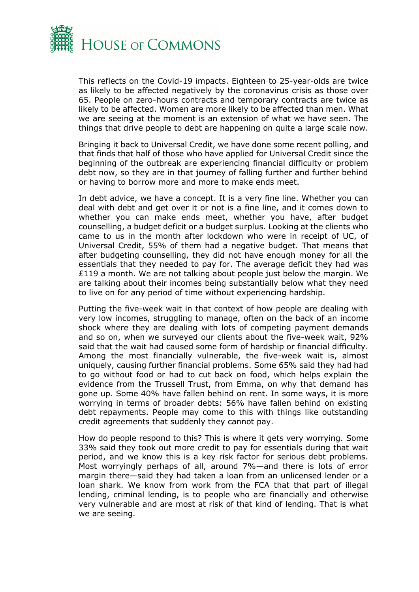

This reflects on the Covid-19 impacts. Eighteen to 25-year-olds are twice as likely to be affected negatively by the coronavirus crisis as those over 65. People on zero-hours contracts and temporary contracts are twice as likely to be affected. Women are more likely to be affected than men. What we are seeing at the moment is an extension of what we have seen. The things that drive people to debt are happening on quite a large scale now.

Bringing it back to Universal Credit, we have done some recent polling, and that finds that half of those who have applied for Universal Credit since the beginning of the outbreak are experiencing financial difficulty or problem debt now, so they are in that journey of falling further and further behind or having to borrow more and more to make ends meet.

In debt advice, we have a concept. It is a very fine line. Whether you can deal with debt and get over it or not is a fine line, and it comes down to whether you can make ends meet, whether you have, after budget counselling, a budget deficit or a budget surplus. Looking at the clients who came to us in the month after lockdown who were in receipt of UC, of Universal Credit, 55% of them had a negative budget. That means that after budgeting counselling, they did not have enough money for all the essentials that they needed to pay for. The average deficit they had was  $£119$  a month. We are not talking about people just below the margin. We are talking about their incomes being substantially below what they need to live on for any period of time without experiencing hardship.

Putting the five-week wait in that context of how people are dealing with very low incomes, struggling to manage, often on the back of an income shock where they are dealing with lots of competing payment demands and so on, when we surveyed our clients about the five-week wait, 92% said that the wait had caused some form of hardship or financial difficulty. Among the most financially vulnerable, the five-week wait is, almost uniquely, causing further financial problems. Some 65% said they had had to go without food or had to cut back on food, which helps explain the evidence from the Trussell Trust, from Emma, on why that demand has gone up. Some 40% have fallen behind on rent. In some ways, it is more worrying in terms of broader debts: 56% have fallen behind on existing debt repayments. People may come to this with things like outstanding credit agreements that suddenly they cannot pay.

How do people respond to this? This is where it gets very worrying. Some 33% said they took out more credit to pay for essentials during that wait period, and we know this is a key risk factor for serious debt problems. Most worryingly perhaps of all, around 7%—and there is lots of error margin there—said they had taken a loan from an unlicensed lender or a loan shark. We know from work from the FCA that that part of illegal lending, criminal lending, is to people who are financially and otherwise very vulnerable and are most at risk of that kind of lending. That is what we are seeing.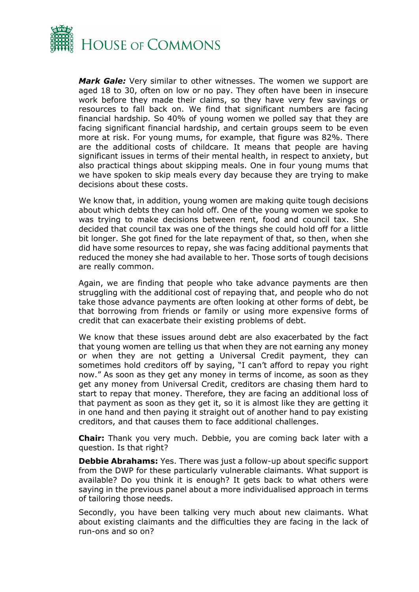

*Mark Gale:* Very similar to other witnesses. The women we support are aged 18 to 30, often on low or no pay. They often have been in insecure work before they made their claims, so they have very few savings or resources to fall back on. We find that significant numbers are facing financial hardship. So 40% of young women we polled say that they are facing significant financial hardship, and certain groups seem to be even more at risk. For young mums, for example, that figure was 82%. There are the additional costs of childcare. It means that people are having significant issues in terms of their mental health, in respect to anxiety, but also practical things about skipping meals. One in four young mums that we have spoken to skip meals every day because they are trying to make decisions about these costs.

We know that, in addition, young women are making quite tough decisions about which debts they can hold off. One of the young women we spoke to was trying to make decisions between rent, food and council tax. She decided that council tax was one of the things she could hold off for a little bit longer. She got fined for the late repayment of that, so then, when she did have some resources to repay, she was facing additional payments that reduced the money she had available to her. Those sorts of tough decisions are really common.

Again, we are finding that people who take advance payments are then struggling with the additional cost of repaying that, and people who do not take those advance payments are often looking at other forms of debt, be that borrowing from friends or family or using more expensive forms of credit that can exacerbate their existing problems of debt.

We know that these issues around debt are also exacerbated by the fact that young women are telling us that when they are not earning any money or when they are not getting a Universal Credit payment, they can sometimes hold creditors off by saying, "I can't afford to repay you right now." As soon as they get any money in terms of income, as soon as they get any money from Universal Credit, creditors are chasing them hard to start to repay that money. Therefore, they are facing an additional loss of that payment as soon as they get it, so it is almost like they are getting it in one hand and then paying it straight out of another hand to pay existing creditors, and that causes them to face additional challenges.

**Chair:** Thank you very much. Debbie, you are coming back later with a question. Is that right?

**Debbie Abrahams:** Yes. There was just a follow-up about specific support from the DWP for these particularly vulnerable claimants. What support is available? Do you think it is enough? It gets back to what others were saying in the previous panel about a more individualised approach in terms of tailoring those needs.

Secondly, you have been talking very much about new claimants. What about existing claimants and the difficulties they are facing in the lack of run-ons and so on?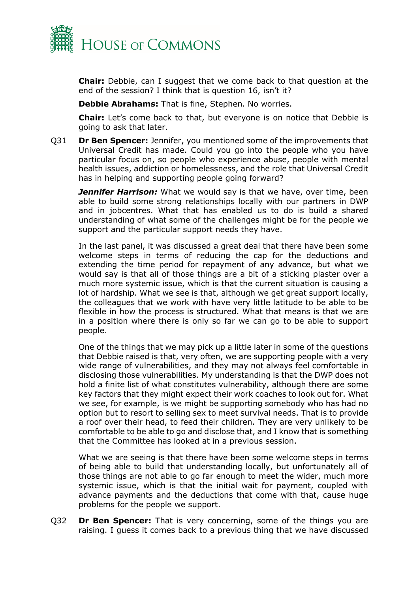

**Chair:** Debbie, can I suggest that we come back to that question at the end of the session? I think that is question 16, isn't it?

**Debbie Abrahams:** That is fine, Stephen. No worries.

**Chair:** Let's come back to that, but everyone is on notice that Debbie is going to ask that later.

Q31 **Dr Ben Spencer:** Jennifer, you mentioned some of the improvements that Universal Credit has made. Could you go into the people who you have particular focus on, so people who experience abuse, people with mental health issues, addiction or homelessness, and the role that Universal Credit has in helping and supporting people going forward?

**Jennifer Harrison:** What we would say is that we have, over time, been able to build some strong relationships locally with our partners in DWP and in jobcentres. What that has enabled us to do is build a shared understanding of what some of the challenges might be for the people we support and the particular support needs they have.

In the last panel, it was discussed a great deal that there have been some welcome steps in terms of reducing the cap for the deductions and extending the time period for repayment of any advance, but what we would say is that all of those things are a bit of a sticking plaster over a much more systemic issue, which is that the current situation is causing a lot of hardship. What we see is that, although we get great support locally, the colleagues that we work with have very little latitude to be able to be flexible in how the process is structured. What that means is that we are in a position where there is only so far we can go to be able to support people.

One of the things that we may pick up a little later in some of the questions that Debbie raised is that, very often, we are supporting people with a very wide range of vulnerabilities, and they may not always feel comfortable in disclosing those vulnerabilities. My understanding is that the DWP does not hold a finite list of what constitutes vulnerability, although there are some key factors that they might expect their work coaches to look out for. What we see, for example, is we might be supporting somebody who has had no option but to resort to selling sex to meet survival needs. That is to provide a roof over their head, to feed their children. They are very unlikely to be comfortable to be able to go and disclose that, and I know that is something that the Committee has looked at in a previous session.

What we are seeing is that there have been some welcome steps in terms of being able to build that understanding locally, but unfortunately all of those things are not able to go far enough to meet the wider, much more systemic issue, which is that the initial wait for payment, coupled with advance payments and the deductions that come with that, cause huge problems for the people we support.

Q32 **Dr Ben Spencer:** That is very concerning, some of the things you are raising. I guess it comes back to a previous thing that we have discussed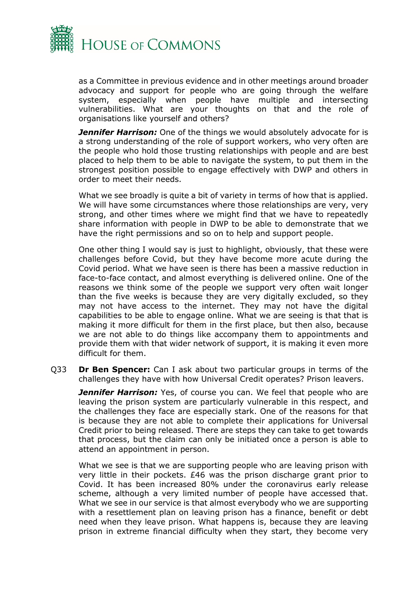

as a Committee in previous evidence and in other meetings around broader advocacy and support for people who are going through the welfare system, especially when people have multiple and intersecting vulnerabilities. What are your thoughts on that and the role of organisations like yourself and others?

**Jennifer Harrison:** One of the things we would absolutely advocate for is a strong understanding of the role of support workers, who very often are the people who hold those trusting relationships with people and are best placed to help them to be able to navigate the system, to put them in the strongest position possible to engage effectively with DWP and others in order to meet their needs.

What we see broadly is quite a bit of variety in terms of how that is applied. We will have some circumstances where those relationships are very, very strong, and other times where we might find that we have to repeatedly share information with people in DWP to be able to demonstrate that we have the right permissions and so on to help and support people.

One other thing I would say is just to highlight, obviously, that these were challenges before Covid, but they have become more acute during the Covid period. What we have seen is there has been a massive reduction in face-to-face contact, and almost everything is delivered online. One of the reasons we think some of the people we support very often wait longer than the five weeks is because they are very digitally excluded, so they may not have access to the internet. They may not have the digital capabilities to be able to engage online. What we are seeing is that that is making it more difficult for them in the first place, but then also, because we are not able to do things like accompany them to appointments and provide them with that wider network of support, it is making it even more difficult for them.

Q33 **Dr Ben Spencer:** Can I ask about two particular groups in terms of the challenges they have with how Universal Credit operates? Prison leavers.

**Jennifer Harrison:** Yes, of course you can. We feel that people who are leaving the prison system are particularly vulnerable in this respect, and the challenges they face are especially stark. One of the reasons for that is because they are not able to complete their applications for Universal Credit prior to being released. There are steps they can take to get towards that process, but the claim can only be initiated once a person is able to attend an appointment in person.

What we see is that we are supporting people who are leaving prison with very little in their pockets. £46 was the prison discharge grant prior to Covid. It has been increased 80% under the coronavirus early release scheme, although a very limited number of people have accessed that. What we see in our service is that almost everybody who we are supporting with a resettlement plan on leaving prison has a finance, benefit or debt need when they leave prison. What happens is, because they are leaving prison in extreme financial difficulty when they start, they become very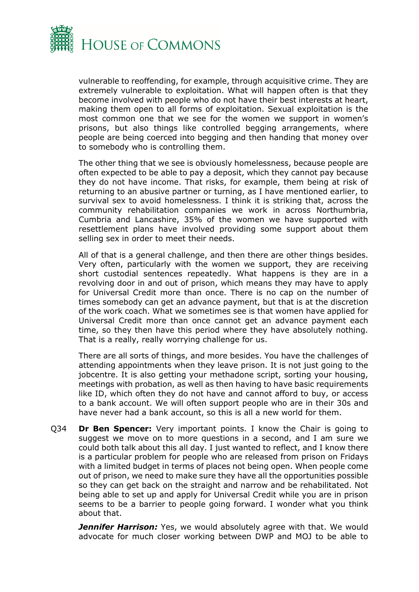

vulnerable to reoffending, for example, through acquisitive crime. They are extremely vulnerable to exploitation. What will happen often is that they become involved with people who do not have their best interests at heart, making them open to all forms of exploitation. Sexual exploitation is the most common one that we see for the women we support in women's prisons, but also things like controlled begging arrangements, where people are being coerced into begging and then handing that money over to somebody who is controlling them.

The other thing that we see is obviously homelessness, because people are often expected to be able to pay a deposit, which they cannot pay because they do not have income. That risks, for example, them being at risk of returning to an abusive partner or turning, as I have mentioned earlier, to survival sex to avoid homelessness. I think it is striking that, across the community rehabilitation companies we work in across Northumbria, Cumbria and Lancashire, 35% of the women we have supported with resettlement plans have involved providing some support about them selling sex in order to meet their needs.

All of that is a general challenge, and then there are other things besides. Very often, particularly with the women we support, they are receiving short custodial sentences repeatedly. What happens is they are in a revolving door in and out of prison, which means they may have to apply for Universal Credit more than once. There is no cap on the number of times somebody can get an advance payment, but that is at the discretion of the work coach. What we sometimes see is that women have applied for Universal Credit more than once cannot get an advance payment each time, so they then have this period where they have absolutely nothing. That is a really, really worrying challenge for us.

There are all sorts of things, and more besides. You have the challenges of attending appointments when they leave prison. It is not just going to the jobcentre. It is also getting your methadone script, sorting your housing, meetings with probation, as well as then having to have basic requirements like ID, which often they do not have and cannot afford to buy, or access to a bank account. We will often support people who are in their 30s and have never had a bank account, so this is all a new world for them.

Q34 **Dr Ben Spencer:** Very important points. I know the Chair is going to suggest we move on to more questions in a second, and I am sure we could both talk about this all day. I just wanted to reflect, and I know there is a particular problem for people who are released from prison on Fridays with a limited budget in terms of places not being open. When people come out of prison, we need to make sure they have all the opportunities possible so they can get back on the straight and narrow and be rehabilitated. Not being able to set up and apply for Universal Credit while you are in prison seems to be a barrier to people going forward. I wonder what you think about that.

**Jennifer Harrison:** Yes, we would absolutely agree with that. We would advocate for much closer working between DWP and MOJ to be able to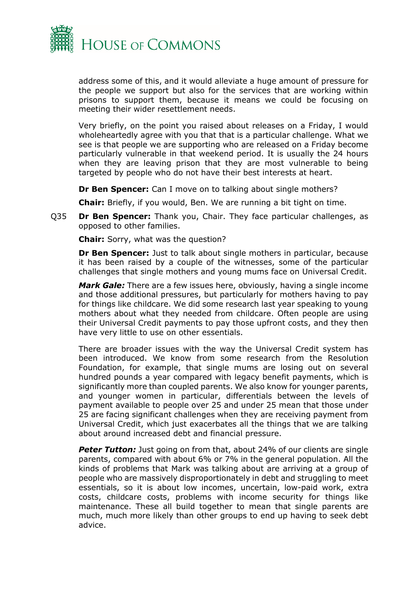

address some of this, and it would alleviate a huge amount of pressure for the people we support but also for the services that are working within prisons to support them, because it means we could be focusing on meeting their wider resettlement needs.

Very briefly, on the point you raised about releases on a Friday, I would wholeheartedly agree with you that that is a particular challenge. What we see is that people we are supporting who are released on a Friday become particularly vulnerable in that weekend period. It is usually the 24 hours when they are leaving prison that they are most vulnerable to being targeted by people who do not have their best interests at heart.

**Dr Ben Spencer:** Can I move on to talking about single mothers?

**Chair:** Briefly, if you would, Ben. We are running a bit tight on time.

Q35 **Dr Ben Spencer:** Thank you, Chair. They face particular challenges, as opposed to other families.

**Chair:** Sorry, what was the question?

**Dr Ben Spencer:** Just to talk about single mothers in particular, because it has been raised by a couple of the witnesses, some of the particular challenges that single mothers and young mums face on Universal Credit.

*Mark Gale:* There are a few issues here, obviously, having a single income and those additional pressures, but particularly for mothers having to pay for things like childcare. We did some research last year speaking to young mothers about what they needed from childcare. Often people are using their Universal Credit payments to pay those upfront costs, and they then have very little to use on other essentials.

There are broader issues with the way the Universal Credit system has been introduced. We know from some research from the Resolution Foundation, for example, that single mums are losing out on several hundred pounds a year compared with legacy benefit payments, which is significantly more than coupled parents. We also know for younger parents, and younger women in particular, differentials between the levels of payment available to people over 25 and under 25 mean that those under 25 are facing significant challenges when they are receiving payment from Universal Credit, which just exacerbates all the things that we are talking about around increased debt and financial pressure.

**Peter Tutton:** Just going on from that, about 24% of our clients are single parents, compared with about 6% or 7% in the general population. All the kinds of problems that Mark was talking about are arriving at a group of people who are massively disproportionately in debt and struggling to meet essentials, so it is about low incomes, uncertain, low-paid work, extra costs, childcare costs, problems with income security for things like maintenance. These all build together to mean that single parents are much, much more likely than other groups to end up having to seek debt advice.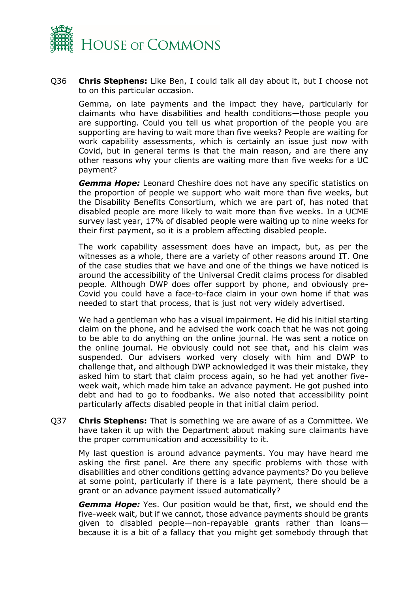

Q36 **Chris Stephens:** Like Ben, I could talk all day about it, but I choose not to on this particular occasion.

Gemma, on late payments and the impact they have, particularly for claimants who have disabilities and health conditions—those people you are supporting. Could you tell us what proportion of the people you are supporting are having to wait more than five weeks? People are waiting for work capability assessments, which is certainly an issue just now with Covid, but in general terms is that the main reason, and are there any other reasons why your clients are waiting more than five weeks for a UC payment?

*Gemma Hope:* Leonard Cheshire does not have any specific statistics on the proportion of people we support who wait more than five weeks, but the Disability Benefits Consortium, which we are part of, has noted that disabled people are more likely to wait more than five weeks. In a UCME survey last year, 17% of disabled people were waiting up to nine weeks for their first payment, so it is a problem affecting disabled people.

The work capability assessment does have an impact, but, as per the witnesses as a whole, there are a variety of other reasons around IT. One of the case studies that we have and one of the things we have noticed is around the accessibility of the Universal Credit claims process for disabled people. Although DWP does offer support by phone, and obviously pre-Covid you could have a face-to-face claim in your own home if that was needed to start that process, that is just not very widely advertised.

We had a gentleman who has a visual impairment. He did his initial starting claim on the phone, and he advised the work coach that he was not going to be able to do anything on the online journal. He was sent a notice on the online journal. He obviously could not see that, and his claim was suspended. Our advisers worked very closely with him and DWP to challenge that, and although DWP acknowledged it was their mistake, they asked him to start that claim process again, so he had yet another fiveweek wait, which made him take an advance payment. He got pushed into debt and had to go to foodbanks. We also noted that accessibility point particularly affects disabled people in that initial claim period.

Q37 **Chris Stephens:** That is something we are aware of as a Committee. We have taken it up with the Department about making sure claimants have the proper communication and accessibility to it.

My last question is around advance payments. You may have heard me asking the first panel. Are there any specific problems with those with disabilities and other conditions getting advance payments? Do you believe at some point, particularly if there is a late payment, there should be a grant or an advance payment issued automatically?

*Gemma Hope:* Yes. Our position would be that, first, we should end the five-week wait, but if we cannot, those advance payments should be grants given to disabled people—non-repayable grants rather than loans because it is a bit of a fallacy that you might get somebody through that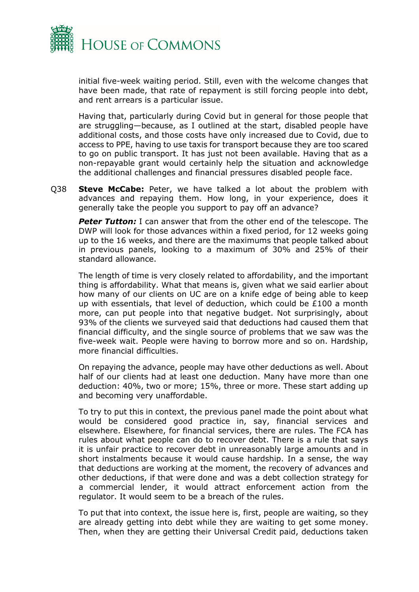

initial five-week waiting period. Still, even with the welcome changes that have been made, that rate of repayment is still forcing people into debt, and rent arrears is a particular issue.

Having that, particularly during Covid but in general for those people that are struggling—because, as I outlined at the start, disabled people have additional costs, and those costs have only increased due to Covid, due to access to PPE, having to use taxis for transport because they are too scared to go on public transport. It has just not been available. Having that as a non-repayable grant would certainly help the situation and acknowledge the additional challenges and financial pressures disabled people face.

Q38 **Steve McCabe:** Peter, we have talked a lot about the problem with advances and repaying them. How long, in your experience, does it generally take the people you support to pay off an advance?

**Peter Tutton:** I can answer that from the other end of the telescope. The DWP will look for those advances within a fixed period, for 12 weeks going up to the 16 weeks, and there are the maximums that people talked about in previous panels, looking to a maximum of 30% and 25% of their standard allowance.

The length of time is very closely related to affordability, and the important thing is affordability. What that means is, given what we said earlier about how many of our clients on UC are on a knife edge of being able to keep up with essentials, that level of deduction, which could be £100 a month more, can put people into that negative budget. Not surprisingly, about 93% of the clients we surveyed said that deductions had caused them that financial difficulty, and the single source of problems that we saw was the five-week wait. People were having to borrow more and so on. Hardship, more financial difficulties.

On repaying the advance, people may have other deductions as well. About half of our clients had at least one deduction. Many have more than one deduction: 40%, two or more; 15%, three or more. These start adding up and becoming very unaffordable.

To try to put this in context, the previous panel made the point about what would be considered good practice in, say, financial services and elsewhere. Elsewhere, for financial services, there are rules. The FCA has rules about what people can do to recover debt. There is a rule that says it is unfair practice to recover debt in unreasonably large amounts and in short instalments because it would cause hardship. In a sense, the way that deductions are working at the moment, the recovery of advances and other deductions, if that were done and was a debt collection strategy for a commercial lender, it would attract enforcement action from the regulator. It would seem to be a breach of the rules.

To put that into context, the issue here is, first, people are waiting, so they are already getting into debt while they are waiting to get some money. Then, when they are getting their Universal Credit paid, deductions taken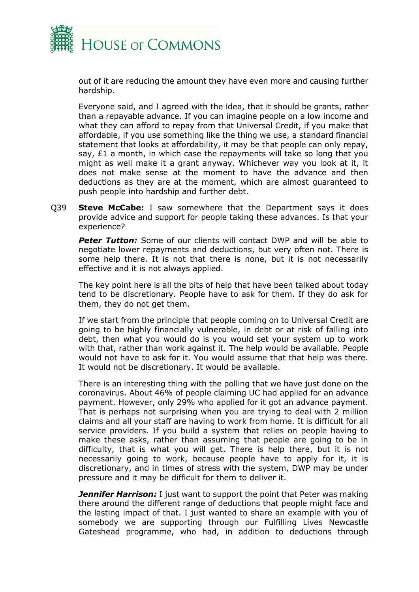

out of it are reducing the amount they have even more and causing further hardship.

Everyone said, and I agreed with the idea, that it should be grants, rather than a repayable advance. If you can imagine people on a low income and what they can afford to repay from that Universal Credit, if you make that affordable, if you use something like the thing we use, a standard financial statement that looks at affordability, it may be that people can only repay, say, £1 a month, in which case the repayments will take so long that you might as well make it a grant anyway. Whichever way you look at it, it does not make sense at the moment to have the advance and then deductions as they are at the moment, which are almost guaranteed to push people into hardship and further debt.

Q39 **Steve McCabe:** I saw somewhere that the Department says it does provide advice and support for people taking these advances. Is that your experience?

*Peter Tutton:* Some of our clients will contact DWP and will be able to negotiate lower repayments and deductions, but very often not. There is some help there. It is not that there is none, but it is not necessarily effective and it is not always applied.

The key point here is all the bits of help that have been talked about today tend to be discretionary. People have to ask for them. If they do ask for them, they do not get them.

If we start from the principle that people coming on to Universal Credit are going to be highly financially vulnerable, in debt or at risk of falling into debt, then what you would do is you would set your system up to work with that, rather than work against it. The help would be available. People would not have to ask for it. You would assume that that help was there. It would not be discretionary. It would be available.

There is an interesting thing with the polling that we have just done on the coronavirus. About 46% of people claiming UC had applied for an advance payment. However, only 29% who applied for it got an advance payment. That is perhaps not surprising when you are trying to deal with 2 million claims and all your staff are having to work from home. It is difficult for all service providers. If you build a system that relies on people having to make these asks, rather than assuming that people are going to be in difficulty, that is what you will get. There is help there, but it is not necessarily going to work, because people have to apply for it, it is discretionary, and in times of stress with the system, DWP may be under pressure and it may be difficult for them to deliver it.

**Jennifer Harrison:** I just want to support the point that Peter was making there around the different range of deductions that people might face and the lasting impact of that. I just wanted to share an example with you of somebody we are supporting through our Fulfilling Lives Newcastle Gateshead programme, who had, in addition to deductions through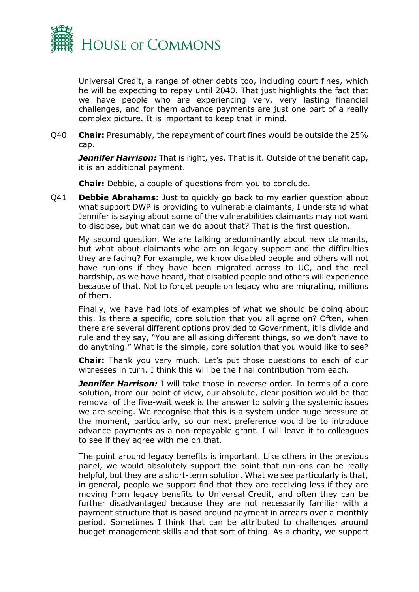

Universal Credit, a range of other debts too, including court fines, which he will be expecting to repay until 2040. That just highlights the fact that we have people who are experiencing very, very lasting financial challenges, and for them advance payments are just one part of a really complex picture. It is important to keep that in mind.

Q40 **Chair:** Presumably, the repayment of court fines would be outside the 25% cap.

*Jennifer Harrison:* That is right, yes. That is it. Outside of the benefit cap, it is an additional payment.

**Chair:** Debbie, a couple of questions from you to conclude.

Q41 **Debbie Abrahams:** Just to quickly go back to my earlier question about what support DWP is providing to vulnerable claimants, I understand what Jennifer is saying about some of the vulnerabilities claimants may not want to disclose, but what can we do about that? That is the first question.

My second question. We are talking predominantly about new claimants, but what about claimants who are on legacy support and the difficulties they are facing? For example, we know disabled people and others will not have run-ons if they have been migrated across to UC, and the real hardship, as we have heard, that disabled people and others will experience because of that. Not to forget people on legacy who are migrating, millions of them.

Finally, we have had lots of examples of what we should be doing about this. Is there a specific, core solution that you all agree on? Often, when there are several different options provided to Government, it is divide and rule and they say, "You are all asking different things, so we don't have to do anything." What is the simple, core solution that you would like to see?

**Chair:** Thank you very much. Let's put those questions to each of our witnesses in turn. I think this will be the final contribution from each.

*Jennifer Harrison:* I will take those in reverse order. In terms of a core solution, from our point of view, our absolute, clear position would be that removal of the five-wait week is the answer to solving the systemic issues we are seeing. We recognise that this is a system under huge pressure at the moment, particularly, so our next preference would be to introduce advance payments as a non-repayable grant. I will leave it to colleagues to see if they agree with me on that.

The point around legacy benefits is important. Like others in the previous panel, we would absolutely support the point that run-ons can be really helpful, but they are a short-term solution. What we see particularly is that, in general, people we support find that they are receiving less if they are moving from legacy benefits to Universal Credit, and often they can be further disadvantaged because they are not necessarily familiar with a payment structure that is based around payment in arrears over a monthly period. Sometimes I think that can be attributed to challenges around budget management skills and that sort of thing. As a charity, we support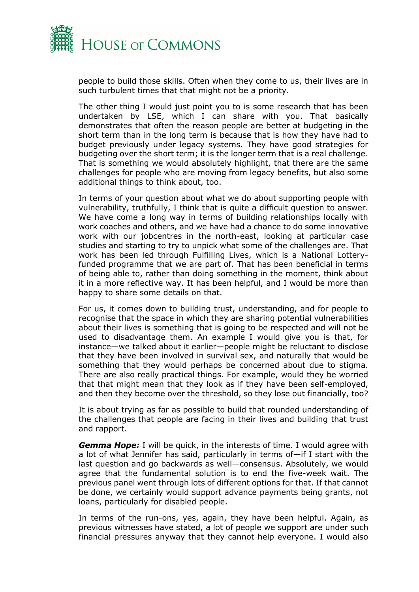

people to build those skills. Often when they come to us, their lives are in such turbulent times that that might not be a priority.

The other thing I would just point you to is some research that has been undertaken by LSE, which I can share with you. That basically demonstrates that often the reason people are better at budgeting in the short term than in the long term is because that is how they have had to budget previously under legacy systems. They have good strategies for budgeting over the short term; it is the longer term that is a real challenge. That is something we would absolutely highlight, that there are the same challenges for people who are moving from legacy benefits, but also some additional things to think about, too.

In terms of your question about what we do about supporting people with vulnerability, truthfully, I think that is quite a difficult question to answer. We have come a long way in terms of building relationships locally with work coaches and others, and we have had a chance to do some innovative work with our jobcentres in the north-east, looking at particular case studies and starting to try to unpick what some of the challenges are. That work has been led through Fulfilling Lives, which is a National Lotteryfunded programme that we are part of. That has been beneficial in terms of being able to, rather than doing something in the moment, think about it in a more reflective way. It has been helpful, and I would be more than happy to share some details on that.

For us, it comes down to building trust, understanding, and for people to recognise that the space in which they are sharing potential vulnerabilities about their lives is something that is going to be respected and will not be used to disadvantage them. An example I would give you is that, for instance—we talked about it earlier—people might be reluctant to disclose that they have been involved in survival sex, and naturally that would be something that they would perhaps be concerned about due to stigma. There are also really practical things. For example, would they be worried that that might mean that they look as if they have been self-employed, and then they become over the threshold, so they lose out financially, too?

It is about trying as far as possible to build that rounded understanding of the challenges that people are facing in their lives and building that trust and rapport.

*Gemma Hope:* I will be quick, in the interests of time. I would agree with a lot of what Jennifer has said, particularly in terms of—if I start with the last question and go backwards as well—consensus. Absolutely, we would agree that the fundamental solution is to end the five-week wait. The previous panel went through lots of different options for that. If that cannot be done, we certainly would support advance payments being grants, not loans, particularly for disabled people.

In terms of the run-ons, yes, again, they have been helpful. Again, as previous witnesses have stated, a lot of people we support are under such financial pressures anyway that they cannot help everyone. I would also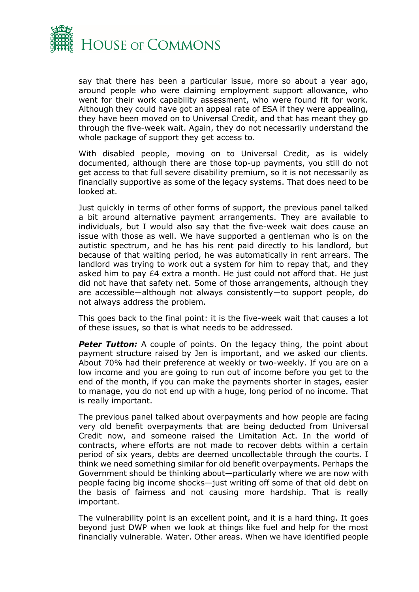

say that there has been a particular issue, more so about a year ago, around people who were claiming employment support allowance, who went for their work capability assessment, who were found fit for work. Although they could have got an appeal rate of ESA if they were appealing, they have been moved on to Universal Credit, and that has meant they go through the five-week wait. Again, they do not necessarily understand the whole package of support they get access to.

With disabled people, moving on to Universal Credit, as is widely documented, although there are those top-up payments, you still do not get access to that full severe disability premium, so it is not necessarily as financially supportive as some of the legacy systems. That does need to be looked at.

Just quickly in terms of other forms of support, the previous panel talked a bit around alternative payment arrangements. They are available to individuals, but I would also say that the five-week wait does cause an issue with those as well. We have supported a gentleman who is on the autistic spectrum, and he has his rent paid directly to his landlord, but because of that waiting period, he was automatically in rent arrears. The landlord was trying to work out a system for him to repay that, and they asked him to pay £4 extra a month. He just could not afford that. He just did not have that safety net. Some of those arrangements, although they are accessible—although not always consistently—to support people, do not always address the problem.

This goes back to the final point: it is the five-week wait that causes a lot of these issues, so that is what needs to be addressed.

**Peter Tutton:** A couple of points. On the legacy thing, the point about payment structure raised by Jen is important, and we asked our clients. About 70% had their preference at weekly or two-weekly. If you are on a low income and you are going to run out of income before you get to the end of the month, if you can make the payments shorter in stages, easier to manage, you do not end up with a huge, long period of no income. That is really important.

The previous panel talked about overpayments and how people are facing very old benefit overpayments that are being deducted from Universal Credit now, and someone raised the Limitation Act. In the world of contracts, where efforts are not made to recover debts within a certain period of six years, debts are deemed uncollectable through the courts. I think we need something similar for old benefit overpayments. Perhaps the Government should be thinking about—particularly where we are now with people facing big income shocks—just writing off some of that old debt on the basis of fairness and not causing more hardship. That is really important.

The vulnerability point is an excellent point, and it is a hard thing. It goes beyond just DWP when we look at things like fuel and help for the most financially vulnerable. Water. Other areas. When we have identified people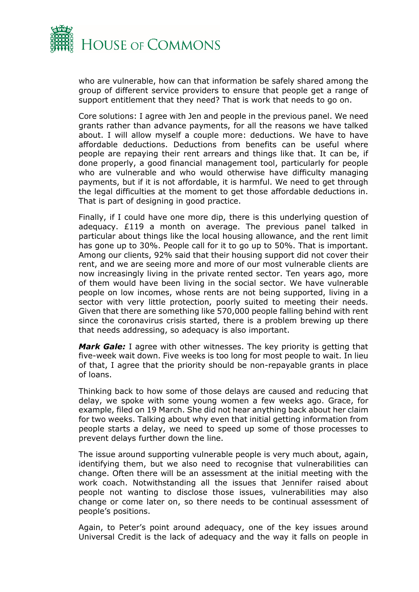

who are vulnerable, how can that information be safely shared among the group of different service providers to ensure that people get a range of support entitlement that they need? That is work that needs to go on.

Core solutions: I agree with Jen and people in the previous panel. We need grants rather than advance payments, for all the reasons we have talked about. I will allow myself a couple more: deductions. We have to have affordable deductions. Deductions from benefits can be useful where people are repaying their rent arrears and things like that. It can be, if done properly, a good financial management tool, particularly for people who are vulnerable and who would otherwise have difficulty managing payments, but if it is not affordable, it is harmful. We need to get through the legal difficulties at the moment to get those affordable deductions in. That is part of designing in good practice.

Finally, if I could have one more dip, there is this underlying question of adequacy. £119 a month on average. The previous panel talked in particular about things like the local housing allowance, and the rent limit has gone up to 30%. People call for it to go up to 50%. That is important. Among our clients, 92% said that their housing support did not cover their rent, and we are seeing more and more of our most vulnerable clients are now increasingly living in the private rented sector. Ten years ago, more of them would have been living in the social sector. We have vulnerable people on low incomes, whose rents are not being supported, living in a sector with very little protection, poorly suited to meeting their needs. Given that there are something like 570,000 people falling behind with rent since the coronavirus crisis started, there is a problem brewing up there that needs addressing, so adequacy is also important.

*Mark Gale:* I agree with other witnesses. The key priority is getting that five-week wait down. Five weeks is too long for most people to wait. In lieu of that, I agree that the priority should be non-repayable grants in place of loans.

Thinking back to how some of those delays are caused and reducing that delay, we spoke with some young women a few weeks ago. Grace, for example, filed on 19 March. She did not hear anything back about her claim for two weeks. Talking about why even that initial getting information from people starts a delay, we need to speed up some of those processes to prevent delays further down the line.

The issue around supporting vulnerable people is very much about, again, identifying them, but we also need to recognise that vulnerabilities can change. Often there will be an assessment at the initial meeting with the work coach. Notwithstanding all the issues that Jennifer raised about people not wanting to disclose those issues, vulnerabilities may also change or come later on, so there needs to be continual assessment of people's positions.

Again, to Peter's point around adequacy, one of the key issues around Universal Credit is the lack of adequacy and the way it falls on people in